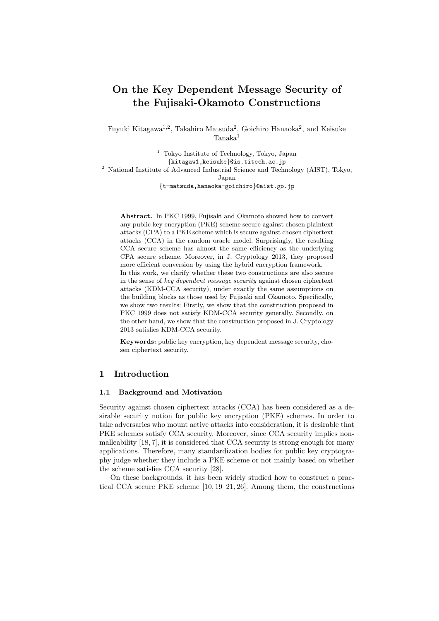# **On the Key Dependent Message Security of the Fujisaki-Okamoto Constructions**

Fuyuki Kitagawa<sup>1,2</sup>, Takahiro Matsuda<sup>2</sup>, Goichiro Hanaoka<sup>2</sup>, and Keisuke Tanaka<sup>1</sup>

<sup>1</sup> Tokyo Institute of Technology, Tokyo, Japan *{*kitagaw1,keisuke*}*@is.titech.ac.jp <sup>2</sup> National Institute of Advanced Industrial Science and Technology (AIST), Tokyo, Japan *{*t-matsuda,hanaoka-goichiro*}*@aist.go.jp

**Abstract.** In PKC 1999, Fujisaki and Okamoto showed how to convert any public key encryption (PKE) scheme secure against chosen plaintext attacks (CPA) to a PKE scheme which is secure against chosen ciphertext attacks (CCA) in the random oracle model. Surprisingly, the resulting CCA secure scheme has almost the same efficiency as the underlying CPA secure scheme. Moreover, in J. Cryptology 2013, they proposed more efficient conversion by using the hybrid encryption framework. In this work, we clarify whether these two constructions are also secure in the sense of *key dependent message security* against chosen ciphertext attacks (KDM-CCA security), under exactly the same assumptions on the building blocks as those used by Fujisaki and Okamoto. Specifically, we show two results: Firstly, we show that the construction proposed in PKC 1999 does not satisfy KDM-CCA security generally. Secondly, on the other hand, we show that the construction proposed in J. Cryptology 2013 satisfies KDM-CCA security.

**Keywords:** public key encryption, key dependent message security, chosen ciphertext security.

## **1 Introduction**

#### **1.1 Background and Motivation**

Security against chosen ciphertext attacks (CCA) has been considered as a desirable security notion for public key encryption (PKE) schemes. In order to take adversaries who mount active attacks into consideration, it is desirable that PKE schemes satisfy CCA security. Moreover, since CCA security implies nonmalleability [18, 7], it is considered that CCA security is strong enough for many applications. Therefore, many standardization bodies for public key cryptography judge whether they include a PKE scheme or not mainly based on whether the scheme satisfies CCA security [28].

On these backgrounds, it has been widely studied how to construct a practical CCA secure PKE scheme [10, 19–21, 26]. Among them, the constructions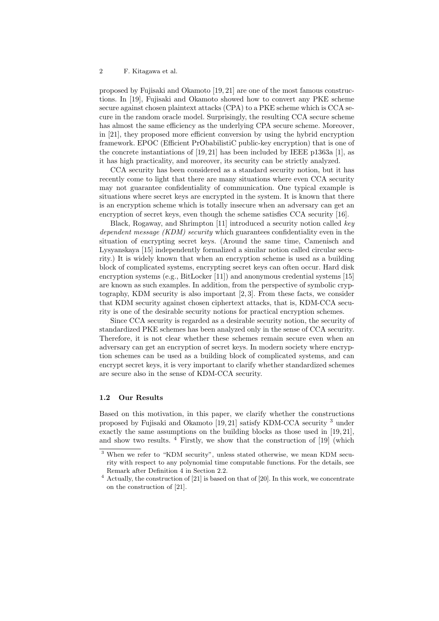proposed by Fujisaki and Okamoto [19, 21] are one of the most famous constructions. In [19], Fujisaki and Okamoto showed how to convert any PKE scheme secure against chosen plaintext attacks (CPA) to a PKE scheme which is CCA secure in the random oracle model. Surprisingly, the resulting CCA secure scheme has almost the same efficiency as the underlying CPA secure scheme. Moreover, in [21], they proposed more efficient conversion by using the hybrid encryption framework. EPOC (Efficient PrObabilistiC public-key encryption) that is one of the concrete instantiations of [19, 21] has been included by IEEE p1363a [1], as it has high practicality, and moreover, its security can be strictly analyzed.

CCA security has been considered as a standard security notion, but it has recently come to light that there are many situations where even CCA security may not guarantee confidentiality of communication. One typical example is situations where secret keys are encrypted in the system. It is known that there is an encryption scheme which is totally insecure when an adversary can get an encryption of secret keys, even though the scheme satisfies CCA security [16].

Black, Rogaway, and Shrimpton [11] introduced a security notion called *key dependent message (KDM) security* which guarantees confidentiality even in the situation of encrypting secret keys. (Around the same time, Camenisch and Lysyanskaya [15] independently formalized a similar notion called circular security.) It is widely known that when an encryption scheme is used as a building block of complicated systems, encrypting secret keys can often occur. Hard disk encryption systems (e.g., BitLocker [11]) and anonymous credential systems [15] are known as such examples. In addition, from the perspective of symbolic cryptography, KDM security is also important [2, 3]. From these facts, we consider that KDM security against chosen ciphertext attacks, that is, KDM-CCA security is one of the desirable security notions for practical encryption schemes.

Since CCA security is regarded as a desirable security notion, the security of standardized PKE schemes has been analyzed only in the sense of CCA security. Therefore, it is not clear whether these schemes remain secure even when an adversary can get an encryption of secret keys. In modern society where encryption schemes can be used as a building block of complicated systems, and can encrypt secret keys, it is very important to clarify whether standardized schemes are secure also in the sense of KDM-CCA security.

#### **1.2 Our Results**

Based on this motivation, in this paper, we clarify whether the constructions proposed by Fujisaki and Okamoto [19, 21] satisfy KDM-CCA security <sup>3</sup> under exactly the same assumptions on the building blocks as those used in [19, 21], and show two results.  $4$  Firstly, we show that the construction of [19] (which

<sup>3</sup> When we refer to "KDM security", unless stated otherwise, we mean KDM security with respect to any polynomial time computable functions. For the details, see Remark after Definition 4 in Section 2.2.

<sup>4</sup> Actually, the construction of [21] is based on that of [20]. In this work, we concentrate on the construction of [21].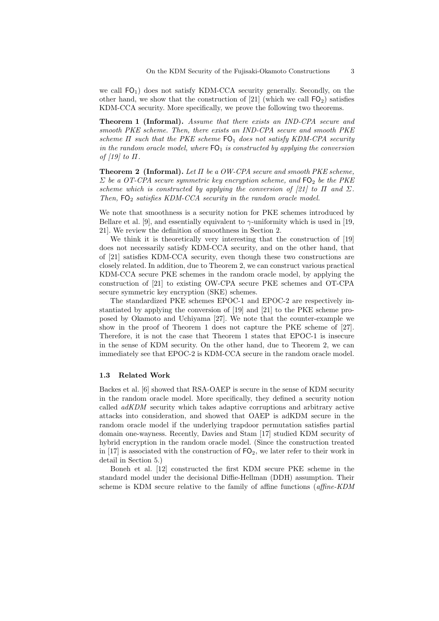we call  $FO<sub>1</sub>$ ) does not satisfy KDM-CCA security generally. Secondly, on the other hand, we show that the construction of [21] (which we call  $FO<sub>2</sub>$ ) satisfies KDM-CCA security. More specifically, we prove the following two theorems.

**Theorem 1 (Informal).** *Assume that there exists an IND-CPA secure and smooth PKE scheme. Then, there exists an IND-CPA secure and smooth PKE scheme Π such that the PKE scheme*  $FO<sub>1</sub>$  *does not satisfy KDM-CPA security in the random oracle model, where*  $FO<sub>1</sub>$  *is constructed by applying the conversion of [19] to Π.*

**Theorem 2 (Informal).** *Let Π be a OW-CPA secure and smooth PKE scheme, Σ be a OT-CPA secure symmetric key encryption scheme, and*  $FO<sub>2</sub>$  *be the PKE scheme which is constructed by applying the conversion of [21] to*  $\Pi$  *and*  $\Sigma$ *. Then,*  $FO<sub>2</sub>$  *satisfies KDM-CCA security in the random oracle model.* 

We note that smoothness is a security notion for PKE schemes introduced by Bellare et al. [9], and essentially equivalent to  $\gamma$ -uniformity which is used in [19, 21]. We review the definition of smoothness in Section 2.

We think it is theoretically very interesting that the construction of [19] does not necessarily satisfy KDM-CCA security, and on the other hand, that of [21] satisfies KDM-CCA security, even though these two constructions are closely related. In addition, due to Theorem 2, we can construct various practical KDM-CCA secure PKE schemes in the random oracle model, by applying the construction of [21] to existing OW-CPA secure PKE schemes and OT-CPA secure symmetric key encryption (SKE) schemes.

The standardized PKE schemes EPOC-1 and EPOC-2 are respectively instantiated by applying the conversion of [19] and [21] to the PKE scheme proposed by Okamoto and Uchiyama [27]. We note that the counter-example we show in the proof of Theorem 1 does not capture the PKE scheme of [27]. Therefore, it is not the case that Theorem 1 states that EPOC-1 is insecure in the sense of KDM security. On the other hand, due to Theorem 2, we can immediately see that EPOC-2 is KDM-CCA secure in the random oracle model.

#### **1.3 Related Work**

Backes et al. [6] showed that RSA-OAEP is secure in the sense of KDM security in the random oracle model. More specifically, they defined a security notion called *adKDM* security which takes adaptive corruptions and arbitrary active attacks into consideration, and showed that OAEP is adKDM secure in the random oracle model if the underlying trapdoor permutation satisfies partial domain one-wayness. Recently, Davies and Stam [17] studied KDM security of hybrid encryption in the random oracle model. (Since the construction treated in [17] is associated with the construction of  $FO_2$ , we later refer to their work in detail in Section 5.)

Boneh et al. [12] constructed the first KDM secure PKE scheme in the standard model under the decisional Diffie-Hellman (DDH) assumption. Their scheme is KDM secure relative to the family of affine functions (*affine-KDM*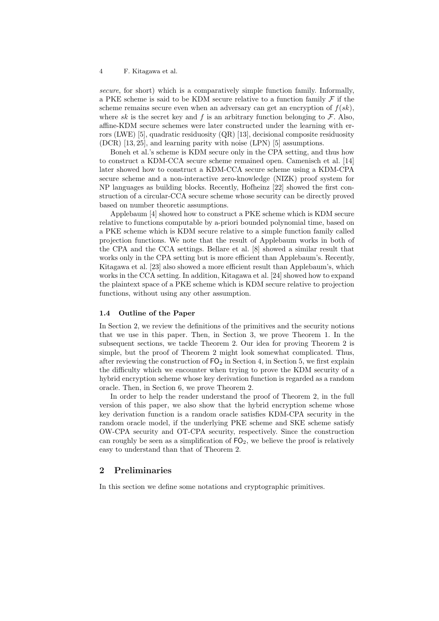*secure*, for short) which is a comparatively simple function family. Informally, a PKE scheme is said to be KDM secure relative to a function family *F* if the scheme remains secure even when an adversary can get an encryption of  $f(sk)$ , where  $sk$  is the secret key and  $f$  is an arbitrary function belonging to  $\mathcal{F}$ . Also, affine-KDM secure schemes were later constructed under the learning with errors (LWE) [5], quadratic residuosity (QR) [13], decisional composite residuosity (DCR) [13, 25], and learning parity with noise (LPN) [5] assumptions.

Boneh et al.'s scheme is KDM secure only in the CPA setting, and thus how to construct a KDM-CCA secure scheme remained open. Camenisch et al. [14] later showed how to construct a KDM-CCA secure scheme using a KDM-CPA secure scheme and a non-interactive zero-knowledge (NIZK) proof system for NP languages as building blocks. Recently, Hofheinz [22] showed the first construction of a circular-CCA secure scheme whose security can be directly proved based on number theoretic assumptions.

Applebaum [4] showed how to construct a PKE scheme which is KDM secure relative to functions computable by a-priori bounded polynomial time, based on a PKE scheme which is KDM secure relative to a simple function family called projection functions. We note that the result of Applebaum works in both of the CPA and the CCA settings. Bellare et al. [8] showed a similar result that works only in the CPA setting but is more efficient than Applebaum's. Recently, Kitagawa et al. [23] also showed a more efficient result than Applebaum's, which works in the CCA setting. In addition, Kitagawa et al. [24] showed how to expand the plaintext space of a PKE scheme which is KDM secure relative to projection functions, without using any other assumption.

#### **1.4 Outline of the Paper**

In Section 2, we review the definitions of the primitives and the security notions that we use in this paper. Then, in Section 3, we prove Theorem 1. In the subsequent sections, we tackle Theorem 2. Our idea for proving Theorem 2 is simple, but the proof of Theorem 2 might look somewhat complicated. Thus, after reviewing the construction of  $FO<sub>2</sub>$  in Section 4, in Section 5, we first explain the difficulty which we encounter when trying to prove the KDM security of a hybrid encryption scheme whose key derivation function is regarded as a random oracle. Then, in Section 6, we prove Theorem 2.

In order to help the reader understand the proof of Theorem 2, in the full version of this paper, we also show that the hybrid encryption scheme whose key derivation function is a random oracle satisfies KDM-CPA security in the random oracle model, if the underlying PKE scheme and SKE scheme satisfy OW-CPA security and OT-CPA security, respectively. Since the construction can roughly be seen as a simplification of  $FQ_2$ , we believe the proof is relatively easy to understand than that of Theorem 2.

## **2 Preliminaries**

In this section we define some notations and cryptographic primitives.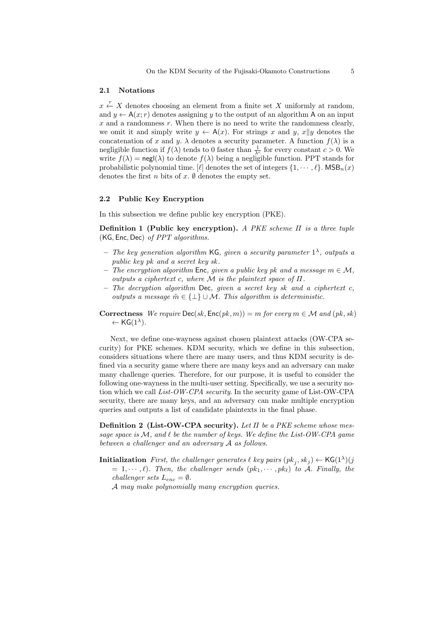#### **2.1 Notations**

*x*  $\leftarrow$  *X* denotes choosing an element from a finite set *X* uniformly at random, and  $y \leftarrow A(x; r)$  denotes assigning y to the output of an algorithm A on an input *x* and a randomness *r*. When there is no need to write the randomness clearly, we omit it and simply write  $y \leftarrow A(x)$ . For strings *x* and *y*, *x|y* denotes the concatenation of *x* and *y*.  $\lambda$  denotes a security parameter. A function  $f(\lambda)$  is a negligible function if  $f(\lambda)$  tends to 0 faster than  $\frac{1}{\lambda^c}$  for every constant  $c > 0$ . We write  $f(\lambda) = \text{negl}(\lambda)$  to denote  $f(\lambda)$  being a negligible function. PPT stands for probabilistic polynomial time. [ $\ell$ ] denotes the set of integers  $\{1, \dots, \ell\}$ . MSB<sub>n</sub>(*x*) denotes the first *n* bits of  $x$ .  $\emptyset$  denotes the empty set.

## **2.2 Public Key Encryption**

In this subsection we define public key encryption (PKE).

**Definition 1 (Public key encryption).** *A PKE scheme Π is a three tuple* (KG*,* Enc*,* Dec) *of PPT algorithms.*

- **–** *The key generation algorithm* KG*, given a security parameter* 1 *λ , outputs a public key pk and a secret key sk .*
- **–** *The encryption algorithm* Enc*, given a public key pk and a message m ∈ M, outputs a ciphertext c, where M is the plaintext space of Π.*
- **–** *The decryption algorithm* Dec*, given a secret key sk and a ciphertext c, outputs a message*  $\tilde{m} \in \{\perp\} \cup \mathcal{M}$ *. This algorithm is deterministic.*

**Correctness**  $We require Dec(sk, Enc(pk, m) = m$  *for every*  $m \in M$  *and*  $(pk, sk)$  $\leftarrow$  KG $(1^{\lambda})$ *.* 

Next, we define one-wayness against chosen plaintext attacks (OW-CPA security) for PKE schemes. KDM security, which we define in this subsection, considers situations where there are many users, and thus KDM security is defined via a security game where there are many keys and an adversary can make many challenge queries. Therefore, for our purpose, it is useful to consider the following one-wayness in the multi-user setting. Specifically, we use a security notion which we call *List-OW-CPA security*. In the security game of List-OW-CPA security, there are many keys, and an adversary can make multiple encryption queries and outputs a list of candidate plaintexts in the final phase.

**Definition 2 (List-OW-CPA security).** *Let Π be a PKE scheme whose message space is M, and ℓ be the number of keys. We define the List-OW-CPA game between a challenger and an adversary A as follows.*

 $\textbf{Initialization}$  *First, the challenger generates*  $\ell$  *key pairs*  $(pk_j, sk_j) \leftarrow \textsf{KG}(1^{\lambda})(jk_j, sk_j)$  $= 1, \dots, \ell$ . Then, the challenger sends  $(pk_1, \dots, pk_\ell)$  to A. Finally, the *challenger sets*  $L_{enc} = \emptyset$ *.* 

*A may make polynomially many encryption queries.*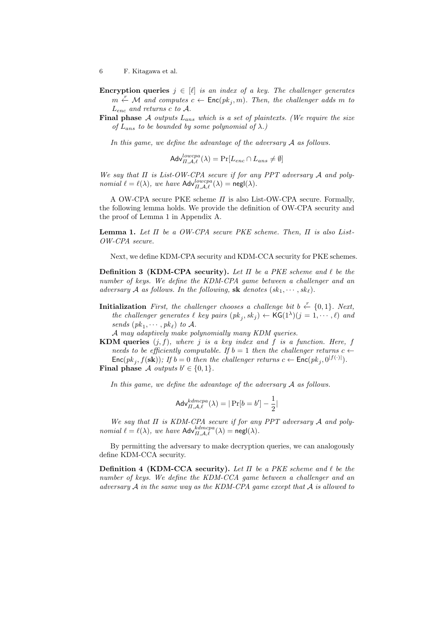**Encryption queries**  $j \in [\ell]$  *is an index of a key. The challenger generates m*  $\overset{r}{\leftarrow}$  *M* and computes  $c$  ← Enc( $pk_j$ , *m*)*. Then, the challenger adds m to Lenc and returns c to A.*

**Final phase** *A outputs Lans which is a set of plaintexts. (We require the size of*  $L_{ans}$  *to be bounded by some polynomial of*  $\lambda$ *.)* 

*In this game, we define the advantage of the adversary A as follows.*

$$
\mathsf{Adv}_{\Pi,\mathcal{A},\ell}^{lowerpa}(\lambda) = \Pr[L_{enc} \cap L_{ans} \neq \emptyset]
$$

*We say that Π is List-OW-CPA secure if for any PPT adversary A and polynomial*  $\ell = \ell(\lambda)$ *, we have*  $\mathsf{Adv}_{\Pi,\mathcal{A},\ell}^{lowerpa}(\lambda) = \mathsf{negl}(\lambda)$ *.* 

A OW-CPA secure PKE scheme *Π* is also List-OW-CPA secure. Formally, the following lemma holds. We provide the definition of OW-CPA security and the proof of Lemma 1 in Appendix A.

**Lemma 1.** *Let Π be a OW-CPA secure PKE scheme. Then, Π is also List-OW-CPA secure.*

Next, we define KDM-CPA security and KDM-CCA security for PKE schemes.

**Definition 3 (KDM-CPA security).** *Let Π be a PKE scheme and ℓ be the number of keys. We define the KDM-CPA game between a challenger and an adversary A as follows. In the following,* **sk** *denotes*  $(k_1, \dots, sk_\ell)$ *.* 

**Initialization** *First, the challenger chooses a challenge bit b*  $\stackrel{r}{\leftarrow}$  {0,1}*.* Next, *the challenger generates*  $\ell$  *key pairs*  $(pk_j, sk_j) \leftarrow \textsf{KG}(1^{\lambda})(j = 1, \dots, \ell)$  *and sends*  $(pk_1, \dots, pk_\ell)$  *to A.* 

*A may adaptively make polynomially many KDM queries.*

**KDM queries**  $(j, f)$ *, where*  $j$  *is a key index and*  $f$  *is a function. Here,*  $f$ *needs to be efficiently computable. If*  $b = 1$  *then the challenger returns*  $c \leftarrow$  $\textsf{Enc}(pk_j, f(\textbf{sk}))$ ; If  $b = 0$  then the challenger returns  $c \leftarrow \textsf{Enc}(pk_j, 0^{|f(\cdot)|})$ .

**Final phase**  $\mathcal{A}$  *outputs*  $b' \in \{0, 1\}$ *.* 

*In this game, we define the advantage of the adversary A as follows.*

$$
\mathsf{Adv}_{\Pi,\mathcal{A},\ell}^{kdmcpa}(\lambda) = |\Pr[b = b'] - \frac{1}{2}|
$$

*We say that Π is KDM-CPA secure if for any PPT adversary A and polynomial*  $\ell = \ell(\lambda)$ *, we have*  $\mathsf{Adv}_{\Pi,\mathcal{A},\ell}^{kdmcpa}(\lambda) = \mathsf{negl}(\lambda)$ *.* 

By permitting the adversary to make decryption queries, we can analogously define KDM-CCA security.

**Definition 4 (KDM-CCA security).** *Let Π be a PKE scheme and ℓ be the number of keys. We define the KDM-CCA game between a challenger and an adversary A in the same way as the KDM-CPA game except that A is allowed to*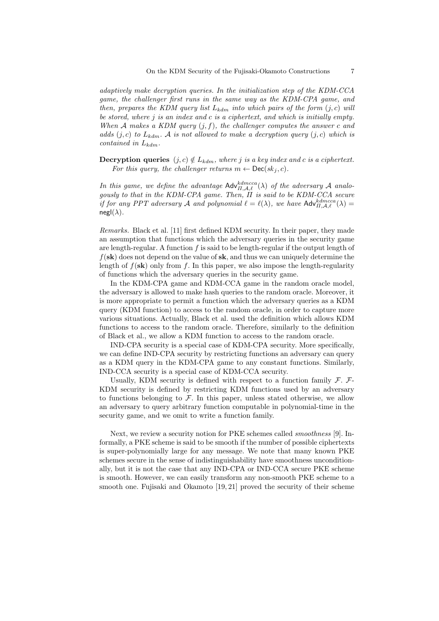*adaptively make decryption queries. In the initialization step of the KDM-CCA game, the challenger first runs in the same way as the KDM-CPA game, and then, prepares the KDM query list*  $L_{kdm}$  *into which pairs of the form*  $(j, c)$  *will be stored, where j is an index and c is a ciphertext, and which is initially empty. When A makes a KDM query* (*j, f*)*, the challenger computes the answer c and adds*  $(j, c)$  *to*  $L_{kdm}$ *. A is not allowed to make a decryption query*  $(j, c)$  *which is contained in Lkdm.*

**Decryption queries**  $(j, c) \notin L_{\text{kdm}}$ , where *j is a key index and c is a ciphertext. For this query, the challenger returns*  $m \leftarrow \text{Dec}(sk_i, c)$ *.* 

In this game, we define the advantage  $\mathsf{Adv}_{\Pi,\mathcal{A},\ell}^{kdmcca}(\lambda)$  of the adversary  $\mathcal A$  analo-<br>gously to that in the KDM-CPA game. Then,  $\Pi$  is said to be KDM-CCA secure *if for any PPT adversary A and polynomial*  $\ell = \ell(\lambda)$ *, we have*  $\mathsf{Adv}_{\Pi,\mathcal{A},\ell}^{kdmcca}(\lambda)$  =  $negl(\lambda)$ .

*Remarks.* Black et al. [11] first defined KDM security. In their paper, they made an assumption that functions which the adversary queries in the security game are length-regular. A function *f* is said to be length-regular if the output length of *f*(**sk**) does not depend on the value of **sk**, and thus we can uniquely determine the length of  $f(\mathbf{sk})$  only from  $f$ . In this paper, we also impose the length-regularity of functions which the adversary queries in the security game.

In the KDM-CPA game and KDM-CCA game in the random oracle model, the adversary is allowed to make hash queries to the random oracle. Moreover, it is more appropriate to permit a function which the adversary queries as a KDM query (KDM function) to access to the random oracle, in order to capture more various situations. Actually, Black et al. used the definition which allows KDM functions to access to the random oracle. Therefore, similarly to the definition of Black et al., we allow a KDM function to access to the random oracle.

IND-CPA security is a special case of KDM-CPA security. More specifically, we can define IND-CPA security by restricting functions an adversary can query as a KDM query in the KDM-CPA game to any constant functions. Similarly, IND-CCA security is a special case of KDM-CCA security.

Usually, KDM security is defined with respect to a function family *F*. *F*-KDM security is defined by restricting KDM functions used by an adversary to functions belonging to  $F$ . In this paper, unless stated otherwise, we allow an adversary to query arbitrary function computable in polynomial-time in the security game, and we omit to write a function family.

Next, we review a security notion for PKE schemes called *smoothness* [9]. Informally, a PKE scheme is said to be smooth if the number of possible ciphertexts is super-polynomially large for any message. We note that many known PKE schemes secure in the sense of indistinguishability have smoothness unconditionally, but it is not the case that any IND-CPA or IND-CCA secure PKE scheme is smooth. However, we can easily transform any non-smooth PKE scheme to a smooth one. Fujisaki and Okamoto [19, 21] proved the security of their scheme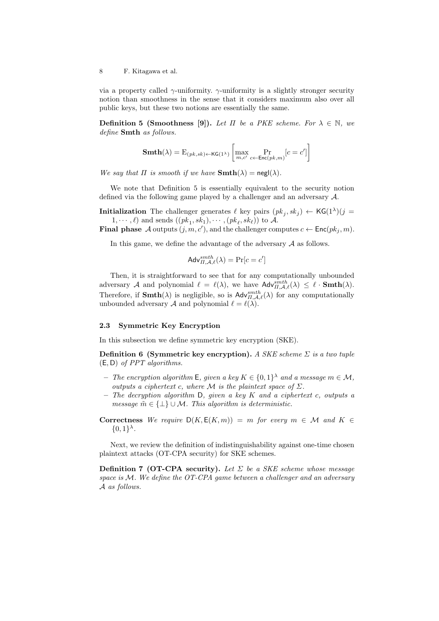via a property called *γ*-uniformity. *γ*-uniformity is a slightly stronger security notion than smoothness in the sense that it considers maximum also over all public keys, but these two notions are essentially the same.

**Definition 5 (Smoothness [9]).** *Let*  $\Pi$  *be a PKE scheme. For*  $\lambda \in \mathbb{N}$ *, we define* **Smth** *as follows.*

$$
\mathbf{Smth}(\lambda)=\mathrm{E}_{(pk,sk)\leftarrow\mathsf{KG}(1^{\lambda})}\left[\max_{m,c'}\Pr_{c\leftarrow\mathsf{Enc}(pk,m)}[c=c']\right]
$$

*We say that*  $\Pi$  *is smooth if we have*  $\text{Smth}(\lambda) = \text{negl}(\lambda)$ *.* 

We note that Definition 5 is essentially equivalent to the security notion defined via the following game played by a challenger and an adversary *A*.

**Initialization** The challenger generates  $\ell$  key pairs  $(pk_j, sk_j) \leftarrow \text{KG}(1^{\lambda})(j =$  $1, \dots, \ell$  and sends  $((pk_1, sk_1), \dots, (pk_\ell, sk_\ell))$  to A.

**Final phase**  $\mathcal A$  outputs  $(j, m, c')$ , and the challenger computes  $c \leftarrow \mathsf{Enc}(pk_j, m)$ .

In this game, we define the advantage of the adversary *A* as follows.

$$
\mathsf{Adv}_{\Pi,\mathcal{A},\ell}^{smth}(\lambda) = \Pr[c = c']
$$

Then, it is straightforward to see that for any computationally unbounded adversary *A* and polynomial  $\ell = \ell(\lambda)$ , we have  $\mathsf{Adv}_{II,\mathcal{A},\ell}^{smth}(\lambda) \leq \ell \cdot \mathbf{Smth}(\lambda)$ . Therefore, if **Smth**( $\lambda$ ) is negligible, so is  $\mathsf{Adv}_{II,\mathcal{A},\ell}^{smth}(\lambda)$  for any computationally unbounded adversary *A* and polynomial  $\ell = \ell(\lambda)$ .

#### **2.3 Symmetric Key Encryption**

In this subsection we define symmetric key encryption (SKE).

**Definition 6 (Symmetric key encryption).** *A SKE scheme Σ is a two tuple* (E*,* D) *of PPT algorithms.*

- $-$  *The encryption algorithm* **E**, given a key  $K \in \{0,1\}^{\lambda}$  and a message  $m \in \mathcal{M}$ , *outputs a ciphertext c, where*  $M$  *is the plaintext space of*  $\Sigma$ *.*
- **–** *The decryption algorithm* D*, given a key K and a ciphertext c, outputs a message*  $\tilde{m} \in \{\perp\} \cup \mathcal{M}$ *. This algorithm is deterministic.*
- **Correctness** We require  $D(K, E(K,m)) = m$  for every  $m \in M$  and  $K \in$  $\{0, 1\}^{\lambda}$ .

Next, we review the definition of indistinguishability against one-time chosen plaintext attacks (OT-CPA security) for SKE schemes.

**Definition 7 (OT-CPA security).** *Let Σ be a SKE scheme whose message space is M. We define the OT-CPA game between a challenger and an adversary A as follows.*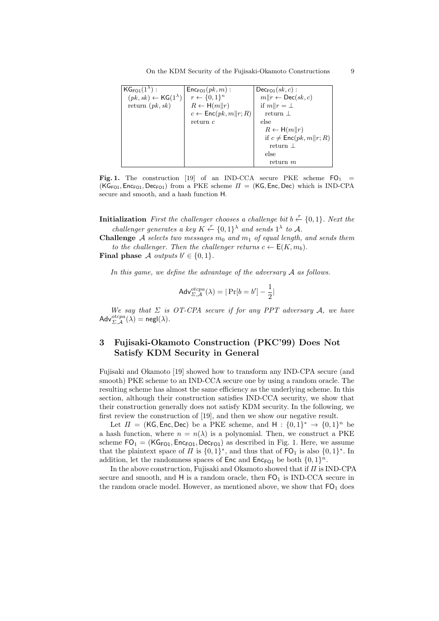On the KDM Security of the Fujisaki-Okamoto Constructions 9

| $KG_{FO1}(1^{\lambda})$ :                   | $Enc_{FQ1}(pk, m)$ :                       | $Dec_{FQ1}(sk, c)$ :                    |
|---------------------------------------------|--------------------------------------------|-----------------------------------------|
| $(pk, sk) \leftarrow {\sf KG}(1^{\lambda})$ | $r \leftarrow \{0,1\}^n$                   | $m  r \leftarrow \textsf{Dec}(sk, c)$   |
| return $(pk, sk)$                           | $R \leftarrow H(m  r)$                     | if $m  r = \perp$                       |
|                                             | $c \leftarrow \mathsf{Enc}(pk, m    r; R)$ | return                                  |
|                                             | return c                                   | else                                    |
|                                             |                                            | $R \leftarrow H(m  r)$                  |
|                                             |                                            | if $c \neq \mathsf{Enc}(pk, m    r; R)$ |
|                                             |                                            | return $\perp$                          |
|                                             |                                            | else                                    |
|                                             |                                            | return m                                |

**Fig. 1.** The construction [19] of an IND-CCA secure PKE scheme  $FO_1$  =  $(KG_{FQ1}, Enc_{FQ1}, Dec_{FQ1})$  from a PKE scheme  $\Pi = (KG, Enc, Dec)$  which is IND-CPA secure and smooth, and a hash function H.

**Initialization** *First the challenger chooses a challenge bit*  $b \stackrel{r}{\leftarrow} \{0,1\}$ *. Next the challenger generates a key*  $K \xleftarrow{r} \{0,1\}^{\lambda}$  *and sends*  $1^{\lambda}$  *to*  $\mathcal{A}$ *.* 

**Challenge** *A* selects two messages  $m_0$  and  $m_1$  of equal length, and sends them *to the challenger. Then the challenger returns*  $c \leftarrow E(K, m_b)$ .

**Final phase**  $\mathcal A$  *outputs*  $b' \in \{0,1\}$ *.* 

*In this game, we define the advantage of the adversary A as follows.*

$$
Adv_{\Sigma,\mathcal{A}}^{otcpa}(\lambda) = |\Pr[b = b'] - \frac{1}{2}|
$$

*We say that Σ is OT-CPA secure if for any PPT adversary A, we have*  $\mathsf{Adv}_{\Sigma,\mathcal{A}}^{otcpa}(\lambda) = \mathsf{negl}(\lambda).$ 

## **3 Fujisaki-Okamoto Construction (PKC'99) Does Not Satisfy KDM Security in General**

Fujisaki and Okamoto [19] showed how to transform any IND-CPA secure (and smooth) PKE scheme to an IND-CCA secure one by using a random oracle. The resulting scheme has almost the same efficiency as the underlying scheme. In this section, although their construction satisfies IND-CCA security, we show that their construction generally does not satisfy KDM security. In the following, we first review the construction of [19], and then we show our negative result.

Let  $\Pi = (KG, Enc, Dec)$  be a PKE scheme, and  $H: \{0, 1\}^* \rightarrow \{0, 1\}^n$  be a hash function, where  $n = n(\lambda)$  is a polynomial. Then, we construct a PKE scheme  $FO_1 = (KG_{F01}, Enc_{F01}, Dec_{F01})$  as described in Fig. 1. Here, we assume that the plaintext space of *Π* is  $\{0,1\}^*$ , and thus that of  $FO_1$  is also  $\{0,1\}^*$ . In addition, let the randomness spaces of  $Enc$  and  $Enc_{FO1}$  be both  $\{0,1\}^n$ .

In the above construction, Fujisaki and Okamoto showed that if *Π* is IND-CPA secure and smooth, and  $H$  is a random oracle, then  $FO<sub>1</sub>$  is IND-CCA secure in the random oracle model. However, as mentioned above, we show that  $FO<sub>1</sub>$  does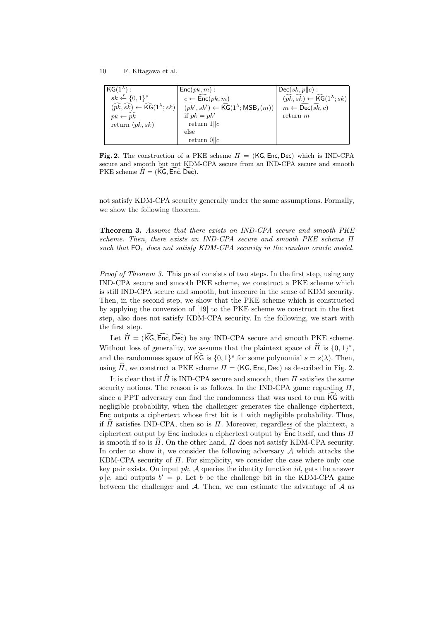| $KG(1^{\lambda})$ :                                                              | $Enc(pk, m)$ :                                                                | $\mathsf{p}\mathsf{Dec}(sk,p\ c):$                                               |
|----------------------------------------------------------------------------------|-------------------------------------------------------------------------------|----------------------------------------------------------------------------------|
| $sk \leftarrow \{0,1\}^s$                                                        | $c \leftarrow \widehat{\mathsf{Enc}}(pk, m)$                                  | $(\widehat{pk}, \widehat{sk}) \leftarrow \widehat{\mathsf{KG}}(1^{\lambda}; sk)$ |
| $(\widehat{pk}, \widehat{sk}) \leftarrow \widehat{\mathsf{KG}}(1^{\lambda}; sk)$ | $(pk', sk') \leftarrow \widehat{\mathsf{KG}}(1^{\lambda}; \mathsf{MSB}_s(m))$ | $m \leftarrow \widehat{\mathsf{Dec}}(\widehat{sk}, c)$                           |
| $pk \leftarrow \widehat{pk}$                                                     | if $pk = pk'$                                                                 | return $m$                                                                       |
| return $(pk, sk)$                                                                | return $1  c$                                                                 |                                                                                  |
|                                                                                  | else                                                                          |                                                                                  |
|                                                                                  | return $0  c$                                                                 |                                                                                  |

**Fig. 2.** The construction of a PKE scheme  $\Pi = (KG, Enc, Dec)$  which is IND-CPA secure and smooth but not KDM-CPA secure from an IND-CPA secure and smooth  $PKE$  scheme  $\hat{\Pi} = (KG, Enc, Dec)$ .

not satisfy KDM-CPA security generally under the same assumptions. Formally, we show the following theorem.

**Theorem 3.** *Assume that there exists an IND-CPA secure and smooth PKE scheme. Then, there exists an IND-CPA secure and smooth PKE scheme Π such that* FO<sup>1</sup> *does not satisfy KDM-CPA security in the random oracle model.*

*Proof of Theorem 3.* This proof consists of two steps. In the first step, using any IND-CPA secure and smooth PKE scheme, we construct a PKE scheme which is still IND-CPA secure and smooth, but insecure in the sense of KDM security. Then, in the second step, we show that the PKE scheme which is constructed by applying the conversion of [19] to the PKE scheme we construct in the first step, also does not satisfy KDM-CPA security. In the following, we start with the first step.

Let  $\hat{\Pi} = (\hat{\text{KG}}, \hat{\text{Enc}}, \hat{\text{Dec}})$  be any IND-CPA secure and smooth PKE scheme. Without loss of generality, we assume that the plaintext space of *Π* is  $\{0, 1\}^*$ , and the randomness space of  $\widehat{\text{KG}}$  is  $\{0,1\}^s$  for some polynomial  $s = s(\lambda)$ . Then, using  $\hat{\Pi}$ , we construct a PKE scheme  $\Pi = (K\mathsf{G}, \mathsf{Enc}, \mathsf{Dec})$  as described in Fig. 2.

It is clear that if  $\widehat{I}$  is IND-CPA secure and smooth, then  $I$  satisfies the same security notions. The reason is as follows. In the IND-CPA game regarding *Π*, since a PPT adversary can find the randomness that was used to run  $\overline{\text{KG}}$  with negligible probability, when the challenger generates the challenge ciphertext, Enc outputs a ciphertext whose first bit is 1 with negligible probability. Thus, if  $\hat{\Pi}$  satisfies IND-CPA, then so is  $\Pi$ . Moreover, regardless of the plaintext, a ciphertext output by Enc includes a ciphertext output by  $\overline{\mathsf{Enc}}$  itself, and thus  $\Pi$ is smooth if so is  $\Pi$ . On the other hand,  $\Pi$  does not satisfy KDM-CPA security. In order to show it, we consider the following adversary *A* which attacks the KDM-CPA security of *Π*. For simplicity, we consider the case where only one key pair exists. On input *pk*, *A* queries the identity function *id*, gets the answer  $p$ <sup>*||c*</sup>, and outputs  $b' = p$ . Let *b* be the challenge bit in the KDM-CPA game between the challenger and *A*. Then, we can estimate the advantage of *A* as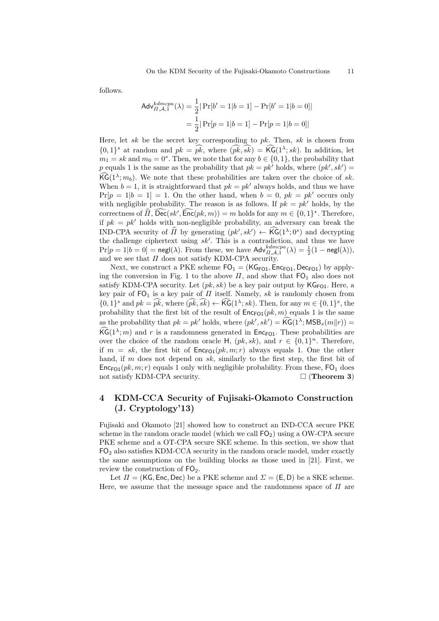follows.

$$
\begin{aligned} \mathsf{Adv}_{II,\mathcal{A},1}^{kdmcpa}(\lambda) &= \frac{1}{2} |\Pr[b'=1|b=1] - \Pr[b'=1|b=0] \\ &= \frac{1}{2} |\Pr[p=1|b=1] - \Pr[p=1|b=0] \end{aligned}
$$

Here, let *sk* be the secret key corresponding to *pk*. Then, *sk* is chosen from  $\{0,1\}^s$  at random and  $pk = pk$ , where  $(pk, sk) = \mathsf{KG}(1^{\lambda}; sk)$ . In addition, let  $m_1 = sk$  and  $m_0 = 0^s$ . Then, we note that for any  $b \in \{0, 1\}$ , the probability that *p* equals 1 is the same as the probability that  $pk = pk'$  holds, where  $(pk', sk') =$  $\widehat{\text{KG}}(1^{\lambda}; m_b)$ . We note that these probabilities are taken over the choice of *sk*. When  $b = 1$ , it is straightforward that  $pk = pk'$  always holds, and thus we have  $Pr[p = 1|b = 1] = 1$ . On the other hand, when  $b = 0$ ,  $pk = pk'$  occurs only with negligible probability. The reason is as follows. If  $pk = pk'$  holds, by the correctness of *Π*, Dec( $sk'$ , Enc( $pk, m$ )) = *m* holds for any  $m \in \{0, 1\}^*$ . Therefore, if  $pk = pk'$  holds with non-negligible probability, an adversary can break the IND-CPA security of  $\hat{H}$  by generating  $(pk', sk') \leftarrow \hat{KG}(1^{\lambda}; 0^s)$  and decrypting the challenge ciphertext using *sk′* . This is a contradiction, and thus we have  $\Pr[p = 1 | b = 0] = \text{negl}(\lambda)$ . From these, we have  $\text{Adv}_{\Pi, \mathcal{A}, 1}^{kdmcpa}(\lambda) = \frac{1}{2}(1 - \text{negl}(\lambda)),$ and we see that *Π* does not satisfy KDM-CPA security.

Next, we construct a PKE scheme  $FO_1 = (KG_{FO1}, Enc_{FO1}, Dec_{FO1})$  by applying the conversion in Fig. 1 to the above  $\Pi$ , and show that  $FO<sub>1</sub>$  also does not satisfy KDM-CPA security. Let  $(pk, sk)$  be a key pair output by  $\mathsf{KG}_{\mathsf{FO1}}$ . Here, a key pair of  $FO_1$  is a key pair of  $\Pi$  itself. Namely,  $sk$  is randomly chosen from  $\{0,1\}^s$  and  $pk = pk$ , where  $(\overline{pk}, \overline{sk}) \leftarrow \widehat{\mathsf{KG}}(1^\lambda; sk)$ . Then, for any  $m \in \{0,1\}^s$ , the probability that the first bit of the result of  $Enc_{FQ1}(pk, m)$  equals 1 is the same as the probability that  $pk = pk'$  holds, where  $(pk', sk') = \widehat{\mathsf{KG}}(1^\lambda; \mathsf{MSB}_s(m||r)) =$  $\widehat{\mathsf{KG}}(1^{\lambda};m)$  and r is a randomness generated in  $\mathsf{Enc}_{\mathsf{FO1}}$ . These probabilities are over the choice of the random oracle H,  $(pk, sk)$ , and  $r \in \{0, 1\}^n$ . Therefore, if  $m = sk$ , the first bit of  $Enc_{FQ1}(pk, m; r)$  always equals 1. One the other hand, if *m* does not depend on *sk*, similarly to the first step, the first bit of  $Enc_{F01}(pk, m; r)$  equals 1 only with negligible probability. From these,  $FO_1$  does not satisfy KDM-CPA security. □ (**Theorem 3**)

## **4 KDM-CCA Security of Fujisaki-Okamoto Construction (J. Cryptology'13)**

Fujisaki and Okamoto [21] showed how to construct an IND-CCA secure PKE scheme in the random oracle model (which we call  $FO<sub>2</sub>$ ) using a OW-CPA secure PKE scheme and a OT-CPA secure SKE scheme. In this section, we show that  $FO<sub>2</sub>$  also satisfies KDM-CCA security in the random oracle model, under exactly the same assumptions on the building blocks as those used in [21]. First, we review the construction of  $FO<sub>2</sub>$ .

Let  $\Pi = (KG, Enc, Dec)$  be a PKE scheme and  $\Sigma = (E, D)$  be a SKE scheme. Here, we assume that the message space and the randomness space of *Π* are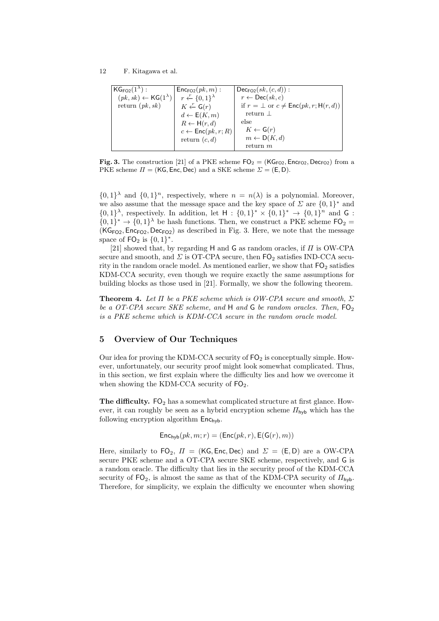| $KG_{FO2}(1^{\lambda})$ :                   | $\mathsf{Enc}_{\mathsf{FO2}}(pk, m)$ : | $Dec_{FQ2}(sk, (c, d))$ :                             |
|---------------------------------------------|----------------------------------------|-------------------------------------------------------|
| $(pk, sk) \leftarrow {\sf KG}(1^{\lambda})$ | $r \leftarrow \{0,1\}^{\lambda}$       | $r \leftarrow \mathsf{Dec}(sk, c)$                    |
| return $(pk, sk)$                           | $K \leftarrow G(r)$                    | if $r = \perp$ or $c \neq \text{Enc}(pk, r; H(r, d))$ |
|                                             | $d \leftarrow E(K, m)$                 | return $\perp$                                        |
|                                             | $R \leftarrow H(r, d)$                 | else                                                  |
|                                             | $c \leftarrow \mathsf{Enc}(pk, r; R)$  | $K \leftarrow \mathsf{G}(r)$                          |
|                                             | return $(c, d)$                        | $m \leftarrow D(K, d)$                                |
|                                             |                                        | return m                                              |

**Fig. 3.** The construction [21] of a PKE scheme  $FO_2 = (KG_{FO2}, Enc_{FO2}, Dec_{FO2})$  from a PKE scheme  $\Pi = (KG, Enc, Dec)$  and a SKE scheme  $\Sigma = (E, D)$ .

 $\{0,1\}$ <sup> $\lambda$ </sup> and  $\{0,1\}$ <sup>n</sup>, respectively, where  $n = n(\lambda)$  is a polynomial. Moreover, we also assume that the message space and the key space of  $\Sigma$  are  $\{0,1\}^*$  and  $\{0,1\}^{\lambda}$ , respectively. In addition, let  $H : \{0,1\}^* \times \{0,1\}^* \to \{0,1\}^n$  and G :  $\{0,1\}^* \to \{0,1\}^{\lambda}$  be hash functions. Then, we construct a PKE scheme  $\mathsf{FO}_2$  =  $(KG<sub>FO2</sub>, Enc<sub>FO2</sub>, Dec<sub>FO2</sub>)$  as described in Fig. 3. Here, we note that the message space of  $FO_2$  is  $\{0, 1\}^*$ .

[21] showed that, by regarding H and G as random oracles, if *Π* is OW-CPA secure and smooth, and  $\Sigma$  is OT-CPA secure, then  $\mathsf{FO}_2$  satisfies IND-CCA security in the random oracle model. As mentioned earlier, we show that  $FO<sub>2</sub>$  satisfies KDM-CCA security, even though we require exactly the same assumptions for building blocks as those used in [21]. Formally, we show the following theorem.

**Theorem 4.** *Let Π be a PKE scheme which is OW-CPA secure and smooth, Σ be a OT-CPA secure SKE scheme, and* H *and* G *be random oracles. Then,* FO<sup>2</sup> *is a PKE scheme which is KDM-CCA secure in the random oracle model.*

## **5 Overview of Our Techniques**

Our idea for proving the KDM-CCA security of  $FO<sub>2</sub>$  is conceptually simple. However, unfortunately, our security proof might look somewhat complicated. Thus, in this section, we first explain where the difficulty lies and how we overcome it when showing the KDM-CCA security of  $FO<sub>2</sub>$ .

**The difficulty.** FO<sub>2</sub> has a somewhat complicated structure at first glance. However, it can roughly be seen as a hybrid encryption scheme  $\Pi_{\mathsf{hvb}}$  which has the following encryption algorithm  $Enc_{\text{hvb}}$ .

$$
\mathsf{Enc}_{\mathsf{hyb}}(pk, m; r) = (\mathsf{Enc}(pk, r), \mathsf{E}(\mathsf{G}(r), m))
$$

Here, similarly to  $FO_2$ ,  $\Pi = (KG, Enc, Dec)$  and  $\Sigma = (E, D)$  are a OW-CPA secure PKE scheme and a OT-CPA secure SKE scheme, respectively, and G is a random oracle. The difficulty that lies in the security proof of the KDM-CCA security of  $FO_2$ , is almost the same as that of the KDM-CPA security of  $\varPi_{\text{hvb}}$ . Therefore, for simplicity, we explain the difficulty we encounter when showing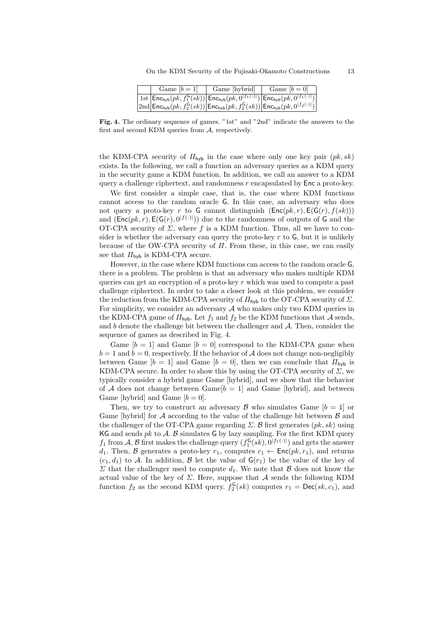|  | Game $ b=1 $ | Game [hybrid]                                                                                                                                                                                                       | Game $[b=0]$ |
|--|--------------|---------------------------------------------------------------------------------------------------------------------------------------------------------------------------------------------------------------------|--------------|
|  |              | $\mathbb{E} \left[ \left. \texttt{Int}_{\textsf{hyb}}(pk, f_1^{\mathsf{G}}(sk)) \right  \texttt{Enc}_{\textsf{hyb}}(pk, 0^{ f_1(\cdot) }) \left  \texttt{Enc}_{\textsf{hyb}}(pk, 0^{ f_1(\cdot) }) \right  \right]$ |              |
|  |              | $ 2nd \mathsf{Enc}_{\mathsf{hyb}}(pk, f_2^{\mathsf{G}}(sk)) \mathsf{Enc}_{\mathsf{hyb}}(pk, f_2^{\mathsf{G}}(sk)) \mathsf{Enc}_{\mathsf{hyb}}(pk, 0^{ f_2(\cdot) }) $                                               |              |

**Fig. 4.** The ordinary sequence of games. "1st" and "2nd" indicate the answers to the first and second KDM queries from *A*, respectively.

the KDM-CPA security of *Π*hyb in the case where only one key pair (*pk, sk*) exists. In the following, we call a function an adversary queries as a KDM query in the security game a KDM function. In addition, we call an answer to a KDM query a challenge ciphertext, and randomness *r* encapsulated by Enc a proto-key.

We first consider a simple case, that is, the case where KDM functions cannot access to the random oracle G. In this case, an adversary who does not query a proto-key *r* to G cannot distinguish  $(Enc(pk, r), E(G(r), f(sk))$ and  $(\textsf{Enc}(pk, r), \textsf{E}(\textsf{G}(r), 0^{|f(\cdot)|}))$  due to the randomness of outputs of G and the OT-CPA security of  $\Sigma$ , where  $f$  is a KDM function. Thus, all we have to consider is whether the adversary can query the proto-key  $r$  to  $\mathsf{G}$ , but it is unlikely because of the OW-CPA security of *Π*. From these, in this case, we can easily see that  $\Pi_{\text{hvb}}$  is KDM-CPA secure.

However, in the case where KDM functions can access to the random oracle G, there is a problem. The problem is that an adversary who makes multiple KDM queries can get an encryption of a proto-key *r* which was used to compute a past challenge ciphertext. In order to take a closer look at this problem, we consider the reduction from the KDM-CPA security of  $\mathbb{I}_{\mathsf{hvb}}$  to the OT-CPA security of  $\Sigma$ . For simplicity, we consider an adversary  $A$  who makes only two KDM queries in the KDM-CPA game of  $\Pi_{\text{hyb}}$ . Let  $f_1$  and  $f_2$  be the KDM functions that A sends, and *b* denote the challenge bit between the challenger and *A*. Then, consider the sequence of games as described in Fig. 4.

Game  $[b = 1]$  and Game  $[b = 0]$  correspond to the KDM-CPA game when  $b = 1$  and  $b = 0$ , respectively. If the behavior of *A* does not change non-negligibly between Game  $[b = 1]$  and Game  $[b = 0]$ , then we can conclude that  $\Pi_{\text{hvb}}$  is KDM-CPA secure. In order to show this by using the OT-CPA security of *Σ*, we typically consider a hybrid game Game [hybrid], and we show that the behavior of *A* does not change between  $\text{Game}[b = 1]$  and  $\text{Game}$  [hybrid], and between Game [hybrid] and Game  $[b = 0]$ .

Then, we try to construct an adversary  $\beta$  who simulates Game  $[b = 1]$  or Game [hybrid] for *A* according to the value of the challenge bit between *B* and the challenger of the OT-CPA game regarding  $\Sigma$ .  $\beta$  first generates  $(pk, sk)$  using  $KG$  and sends  $pk$  to  $A$ .  $B$  simulates  $G$  by lazy sampling. For the first KDM query  $f_1$  from *A*, *B* first makes the challenge query  $(f_1^{\mathsf{G}}(sk), 0^{|f_1(\cdot)|})$  and gets the answer *d*<sub>1</sub>. Then, *B* generates a proto-key  $r_1$ , computes  $c_1 \leftarrow \text{Enc}(pk, r_1)$ , and returns  $(c_1, d_1)$  to A. In addition, B let the value of  $G(r_1)$  be the value of the key of *Σ* that the challenger used to compute  $d_1$ . We note that *B* does not know the actual value of the key of *Σ*. Here, suppose that *A* sends the following KDM function  $f_2$  as the second KDM query.  $f_2^{\mathsf{G}}(sk)$  computes  $r_1 = \mathsf{Dec}(sk, c_1)$ , and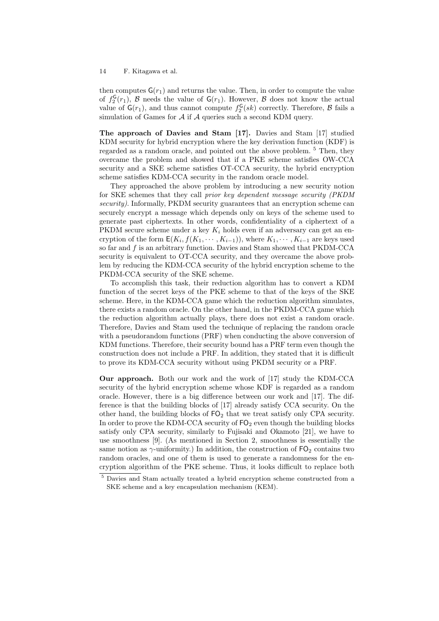then computes  $\mathsf{G}(r_1)$  and returns the value. Then, in order to compute the value of  $f_2^{\mathsf{G}}(r_1)$ ,  $\mathcal B$  needs the value of  $\mathsf{G}(r_1)$ . However,  $\mathcal B$  does not know the actual value of  $G(r_1)$ , and thus cannot compute  $f_2^G(sk)$  correctly. Therefore,  $B$  fails a simulation of Games for *A* if *A* queries such a second KDM query.

**The approach of Davies and Stam [17].** Davies and Stam [17] studied KDM security for hybrid encryption where the key derivation function (KDF) is regarded as a random oracle, and pointed out the above problem. <sup>5</sup> Then, they overcame the problem and showed that if a PKE scheme satisfies OW-CCA security and a SKE scheme satisfies OT-CCA security, the hybrid encryption scheme satisfies KDM-CCA security in the random oracle model.

They approached the above problem by introducing a new security notion for SKE schemes that they call *prior key dependent message security (PKDM security)*. Informally, PKDM security guarantees that an encryption scheme can securely encrypt a message which depends only on keys of the scheme used to generate past ciphertexts. In other words, confidentiality of a ciphertext of a PKDM secure scheme under a key *K<sup>i</sup>* holds even if an adversary can get an encryption of the form  $E(K_i, f(K_1, \dots, K_{i-1}))$ , where  $K_1, \dots, K_{i-1}$  are keys used so far and *f* is an arbitrary function. Davies and Stam showed that PKDM-CCA security is equivalent to OT-CCA security, and they overcame the above problem by reducing the KDM-CCA security of the hybrid encryption scheme to the PKDM-CCA security of the SKE scheme.

To accomplish this task, their reduction algorithm has to convert a KDM function of the secret keys of the PKE scheme to that of the keys of the SKE scheme. Here, in the KDM-CCA game which the reduction algorithm simulates, there exists a random oracle. On the other hand, in the PKDM-CCA game which the reduction algorithm actually plays, there does not exist a random oracle. Therefore, Davies and Stam used the technique of replacing the random oracle with a pseudorandom functions (PRF) when conducting the above conversion of KDM functions. Therefore, their security bound has a PRF term even though the construction does not include a PRF. In addition, they stated that it is difficult to prove its KDM-CCA security without using PKDM security or a PRF.

**Our approach.** Both our work and the work of [17] study the KDM-CCA security of the hybrid encryption scheme whose KDF is regarded as a random oracle. However, there is a big difference between our work and [17]. The difference is that the building blocks of [17] already satisfy CCA security. On the other hand, the building blocks of  $FO<sub>2</sub>$  that we treat satisfy only CPA security. In order to prove the KDM-CCA security of  $FO<sub>2</sub>$  even though the building blocks satisfy only CPA security, similarly to Fujisaki and Okamoto [21], we have to use smoothness [9]. (As mentioned in Section 2, smoothness is essentially the same notion as  $\gamma$ -uniformity.) In addition, the construction of  $FO<sub>2</sub>$  contains two random oracles, and one of them is used to generate a randomness for the encryption algorithm of the PKE scheme. Thus, it looks difficult to replace both

<sup>5</sup> Davies and Stam actually treated a hybrid encryption scheme constructed from a SKE scheme and a key encapsulation mechanism (KEM).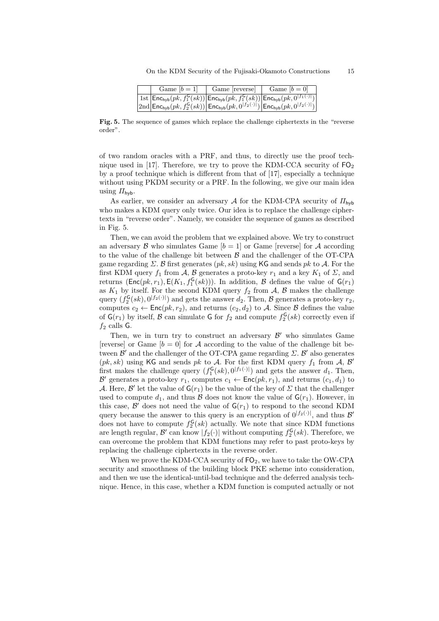|  | Game $ b=1 $ | Game reverse                                                                                                                                                                                     | Game $ b=0 $ |
|--|--------------|--------------------------------------------------------------------------------------------------------------------------------------------------------------------------------------------------|--------------|
|  |              | $ \ln \ln \vert \mathsf{Enc}_{\mathsf{hyb}}(pk, f_1^{\mathsf{G}}(sk)) \big  \mathsf{Enc}_{\mathsf{hyb}}(pk, f_1^{\mathsf{G}}(sk)) \big  \mathsf{Enc}_{\mathsf{hyb}}(pk, 0^{ f_1(\cdot) }) \big $ |              |
|  |              | $\left 2\text{nd}\right $ Enc <sub>hyb</sub> $(pk, f_2^{\mathsf{G}}(sk))\right $ Enc <sub>hyb</sub> $(pk, 0^{ f_2(\cdot) })\left $ Enc <sub>hyb</sub> $(pk, 0^{ f_2(\cdot) })\right $            |              |

Fig. 5. The sequence of games which replace the challenge ciphertexts in the "reverse" order".

of two random oracles with a PRF, and thus, to directly use the proof technique used in [17]. Therefore, we try to prove the KDM-CCA security of  $FQ_2$ by a proof technique which is different from that of [17], especially a technique without using PKDM security or a PRF. In the following, we give our main idea using  $\Pi_{\text{hvh}}$ .

As earlier, we consider an adversary *A* for the KDM-CPA security of *Π*hyb who makes a KDM query only twice. Our idea is to replace the challenge ciphertexts in "reverse order". Namely, we consider the sequence of games as described in Fig. 5.

Then, we can avoid the problem that we explained above. We try to construct an adversary  $\beta$  who simulates Game  $[b = 1]$  or Game [reverse] for  $\mathcal A$  according to the value of the challenge bit between *B* and the challenger of the OT-CPA game regarding *Σ*. *B* first generates (*pk, sk*) using KG and sends *pk* to *A*. For the first KDM query  $f_1$  from  $\mathcal{A}, \mathcal{B}$  generates a proto-key  $r_1$  and a key  $K_1$  of  $\mathcal{Z}$ , and returns ( $Enc(pk, r_1)$ ,  $E(K_1, f_1^{\mathsf{G}}(sk))$ ). In addition, *B* defines the value of  $\mathsf{G}(r_1)$ as  $K_1$  by itself. For the second KDM query  $f_2$  from  $A$ ,  $B$  makes the challenge query  $(f_2^{\mathsf{G}}(sk), 0^{|f_2(\cdot)|})$  and gets the answer  $d_2$ . Then, *B* generates a proto-key  $r_2$ , computes  $c_2 \leftarrow \text{Enc}(pk, r_2)$ , and returns  $(c_2, d_2)$  to *A*. Since *B* defines the value of  $\mathsf{G}(r_1)$  by itself,  $\mathcal{B}$  can simulate  $\mathsf{G}$  for  $f_2$  and compute  $f_2^{\mathsf{G}}(sk)$  correctly even if  $f_2$  calls **G**.

Then, we in turn try to construct an adversary  $\mathcal{B}'$  who simulates Game [reverse] or Game  $[b = 0]$  for A according to the value of the challenge bit between *B ′* and the challenger of the OT-CPA game regarding *Σ*. *B ′* also generates ( $pk, sk$ ) using KG and sends  $pk$  to  $A$ . For the first KDM query  $f_1$  from  $A, B'$ first makes the challenge query  $(f_1^{\mathsf{G}}(sk), 0^{|f_1(\cdot)|})$  and gets the answer  $d_1$ . Then,  $\mathcal{B}'$  generates a proto-key  $r_1$ , computes  $c_1 \leftarrow \mathsf{Enc}(pk, r_1)$ , and returns  $(c_1, d_1)$  to *A*. Here, *B'* let the value of  $\mathsf{G}(r_1)$  be the value of the key of  $\Sigma$  that the challenger used to compute  $d_1$ , and thus  $\beta$  does not know the value of  $\mathsf{G}(r_1)$ . However, in this case,  $\mathcal{B}'$  does not need the value of  $\mathsf{G}(r_1)$  to respond to the second KDM query because the answer to this query is an encryption of  $0^{|f_2(\cdot)|}$ , and thus  $\mathcal{B}'$ does not have to compute  $f_2^{\mathsf{G}}(sk)$  actually. We note that since KDM functions are length regular,  $\mathcal{B}'$  can know  $|f_2(\cdot)|$  without computing  $f_2^{\mathsf{G}}(sk)$ . Therefore, we can overcome the problem that KDM functions may refer to past proto-keys by replacing the challenge ciphertexts in the reverse order.

When we prove the KDM-CCA security of  $FO_2$ , we have to take the OW-CPA security and smoothness of the building block PKE scheme into consideration, and then we use the identical-until-bad technique and the deferred analysis technique. Hence, in this case, whether a KDM function is computed actually or not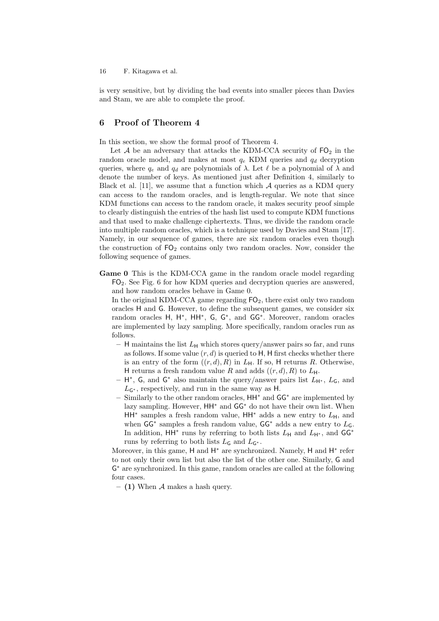is very sensitive, but by dividing the bad events into smaller pieces than Davies and Stam, we are able to complete the proof.

## **6 Proof of Theorem 4**

In this section, we show the formal proof of Theorem 4.

Let  $A$  be an adversary that attacks the KDM-CCA security of  $FQ_2$  in the random oracle model, and makes at most  $q_e$  KDM queries and  $q_d$  decryption queries, where  $q_e$  and  $q_d$  are polynomials of  $\lambda$ . Let  $\ell$  be a polynomial of  $\lambda$  and denote the number of keys. As mentioned just after Definition 4, similarly to Black et al. [11], we assume that a function which  $A$  queries as a KDM query can access to the random oracles, and is length-regular. We note that since KDM functions can access to the random oracle, it makes security proof simple to clearly distinguish the entries of the hash list used to compute KDM functions and that used to make challenge ciphertexts. Thus, we divide the random oracle into multiple random oracles, which is a technique used by Davies and Stam [17]. Namely, in our sequence of games, there are six random oracles even though the construction of  $FO<sub>2</sub>$  contains only two random oracles. Now, consider the following sequence of games.

**Game 0** This is the KDM-CCA game in the random oracle model regarding FO2. See Fig. 6 for how KDM queries and decryption queries are answered, and how random oracles behave in Game 0.

In the original KDM-CCA game regarding  $FO_2$ , there exist only two random oracles H and G. However, to define the subsequent games, we consider six random oracles H, H<sup>\*</sup>, HH<sup>\*</sup>, G, G<sup>\*</sup>, and GG<sup>\*</sup>. Moreover, random oracles are implemented by lazy sampling. More specifically, random oracles run as follows.

- $-$  H maintains the list  $L_H$  which stores query/answer pairs so far, and runs as follows. If some value  $(r, d)$  is queried to  $H$ ,  $H$  first checks whether there is an entry of the form  $((r, d), R)$  in  $L_H$ . If so, H returns R. Otherwise, H returns a fresh random value R and adds  $((r, d), R)$  to  $L_H$ .
- **–** H *∗* , G, and G *<sup>∗</sup>* also maintain the query/answer pairs list *L*<sup>H</sup>*<sup>∗</sup>* , *L*G, and *L*<sup>G</sup>*<sup>∗</sup>* , respectively, and run in the same way as H.
- **–** Similarly to the other random oracles, HH*<sup>∗</sup>* and GG*<sup>∗</sup>* are implemented by lazy sampling. However, HH*<sup>∗</sup>* and GG*<sup>∗</sup>* do not have their own list. When HH<sup>∗</sup> samples a fresh random value, HH<sup>∗</sup> adds a new entry to  $L$ <sub>H</sub>, and when GG*<sup>∗</sup>* samples a fresh random value, GG*<sup>∗</sup>* adds a new entry to *L*G. In addition, HH<sup>∗</sup> runs by referring to both lists  $L$ <sub>H</sub> and  $L$ <sub>H<sup>∗</sup></sub>, and GG<sup>∗</sup> runs by referring to both lists  $L_G$  and  $L_{G^*}$ .

Moreover, in this game, H and H<sup>\*</sup> are synchronized. Namely, H and H<sup>\*</sup> refer to not only their own list but also the list of the other one. Similarly, G and G *<sup>∗</sup>* are synchronized. In this game, random oracles are called at the following four cases.

**– (1)** When *A* makes a hash query.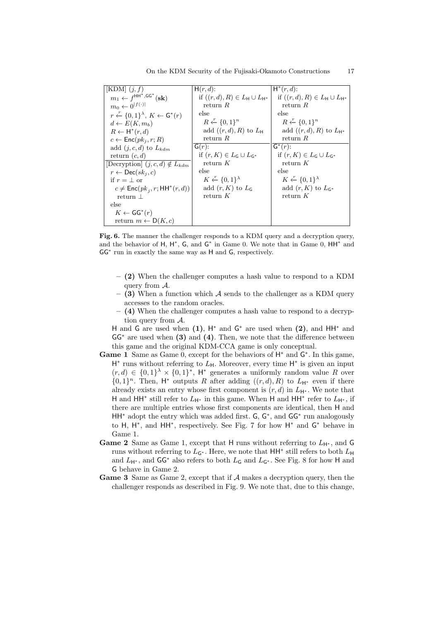| $[KDM]$ $(i, f)$                                          | $H(r, d)$ :                                               | $H^*(r, d)$ :                                             |
|-----------------------------------------------------------|-----------------------------------------------------------|-----------------------------------------------------------|
| $m_1 \leftarrow f^{\text{HH}^*,\text{GG}^*}(\textbf{sk})$ | if $((r, d), R) \in L_{\mathsf{H}} \cup L_{\mathsf{H}^*}$ | if $((r, d), R) \in L_{\mathsf{H}} \cup L_{\mathsf{H}^*}$ |
| $m_0 \leftarrow 0^{ f(\cdot) }$                           | return $R$                                                | return $R$                                                |
| $r \leftarrow \{0,1\}^{\lambda}, K \leftarrow G^*(r)$     | else                                                      | else                                                      |
| $d \leftarrow E(K, m_b)$                                  | $R \leftarrow \{0,1\}^n$                                  | $R \leftarrow \{0,1\}^n$                                  |
| $R \leftarrow H^*(r, d)$                                  | add $((r, d), R)$ to $L_{\mathsf{H}}$                     | add $((r, d), R)$ to $L_{H^*}$                            |
| $c \leftarrow \mathsf{Enc}(pk_i, r; R)$                   | return $R$                                                | return $R$                                                |
| add $(i, c, d)$ to $L_{kdm}$                              | $G(r)$ :                                                  | $\mathsf{G}^*(r)$ :                                       |
| return $(c, d)$                                           | if $(r, K) \in L_G \cup L_{G^*}$                          | if $(r, K) \in L_G \cup L_{G^*}$                          |
| [Decryption] $(j, c, d) \notin L_{\mathrm{kdm}}$          | return $K$                                                | return $K$                                                |
| $r \leftarrow \mathsf{Dec}(sk_i, c)$                      | else                                                      | else                                                      |
| if $r = \perp$ or                                         | $K \leftarrow \{0,1\}^{\lambda}$                          | $K \leftarrow \{0,1\}^{\lambda}$                          |
| $c \neq \mathsf{Enc}(pk_i, r; \mathsf{HH}^*(r, d))$       | add $(r, K)$ to $LG$                                      | add $(r, K)$ to $L_{\mathsf{G}^*}$                        |
| return $\perp$                                            | return $K$                                                | return $K$                                                |
| else                                                      |                                                           |                                                           |
| $K \leftarrow \mathsf{GG}^*(r)$                           |                                                           |                                                           |
| return $m \leftarrow D(K, c)$                             |                                                           |                                                           |

On the KDM Security of the Fujisaki-Okamoto Constructions 17

**Fig. 6.** The manner the challenger responds to a KDM query and a decryption query, and the behavior of H, H<sup>\*</sup>, G, and G<sup>\*</sup> in Game 0. We note that in Game 0, HH<sup>\*</sup> and GG*<sup>∗</sup>* run in exactly the same way as H and G, respectively.

- **(2)** When the challenger computes a hash value to respond to a KDM query from *A*.
- **(3)** When a function which *A* sends to the challenger as a KDM query accesses to the random oracles.
- **(4)** When the challenger computes a hash value to respond to a decryption query from *A*.

H and G are used when **(1)**, H *<sup>∗</sup>* and G *<sup>∗</sup>* are used when **(2)**, and HH*<sup>∗</sup>* and GG*<sup>∗</sup>* are used when **(3)** and **(4)**. Then, we note that the difference between this game and the original KDM-CCA game is only conceptual.

- **Game 1** Same as Game 0, except for the behaviors of H *<sup>∗</sup>* and G *∗* . In this game, H<sup>∗</sup> runs without referring to  $L_{H}$ . Moreover, every time H<sup>∗</sup> is given an input  $(r, d) \in \{0, 1\}^{\lambda} \times \{0, 1\}^*$ , H<sup>\*</sup> generates a uniformly random value R over  $\{0,1\}$ <sup>n</sup>. Then, H<sup>\*</sup> outputs *R* after adding  $((r,d),R)$  to  $L_{H^*}$  even if there already exists an entry whose first component is  $(r, d)$  in  $L_{H^*}$ . We note that H and HH<sup>∗</sup> still refer to  $L_{\mathsf{H}^*}$  in this game. When H and HH<sup>∗</sup> refer to  $L_{\mathsf{H}^*}$ , if there are multiple entries whose first components are identical, then H and HH*<sup>∗</sup>* adopt the entry which was added first. G, G *∗* , and GG*<sup>∗</sup>* run analogously to H, H *∗* , and HH*<sup>∗</sup>* , respectively. See Fig. 7 for how H *<sup>∗</sup>* and G *<sup>∗</sup>* behave in Game 1.
- **Game 2** Same as Game 1, except that H runs without referring to  $L_{H^*}$ , and G runs without referring to  $L_{\mathsf{G}*}$ . Here, we note that HH<sup>∗</sup> still refers to both  $L_{\mathsf{H}}$ and  $L_{H^*}$ , and  $GG^*$  also refers to both  $L_G$  and  $L_{G^*}$ . See Fig. 8 for how H and G behave in Game 2.
- **Game 3** Same as Game 2, except that if *A* makes a decryption query, then the challenger responds as described in Fig. 9. We note that, due to this change,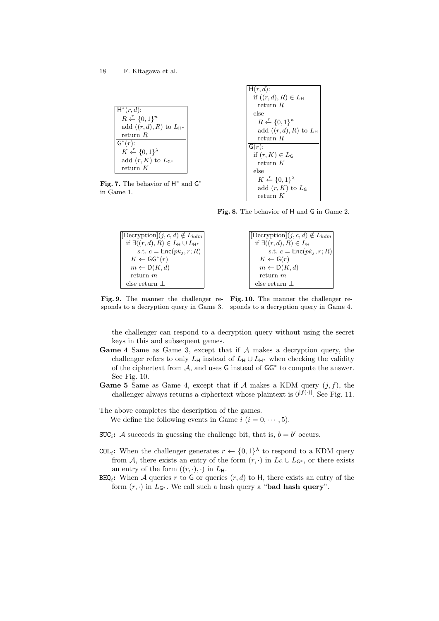|                                    | if $((r, d), R) \in L_{\mathsf{H}}$ |
|------------------------------------|-------------------------------------|
|                                    | return $R$                          |
| $H^*(r,d)$ :                       | else                                |
| $R \leftarrow \{0,1\}^n$           | $R \leftarrow \{0,1\}^n$            |
| add $((r, d), R)$ to $L_{H^*}$     | add $((r, d), R)$ to $L_{H}$        |
| return $R$                         | return $R$                          |
| $\mathsf{G}^*(r)$ :                | $G(r)$ :                            |
| $K \leftarrow \{0,1\}^{\lambda}$   | if $(r, K) \in L_G$                 |
| add $(r, K)$ to $L_{\mathsf{G}^*}$ | return $K$                          |
| return $K$                         | else                                |
|                                    |                                     |
| 7. The behavior of $H^*$ and $G^*$ | $K \leftarrow \{0,1\}^{\lambda}$    |
|                                    | add $(r, K)$ to $L_G$               |

**Fig. 7.** Th in Game 1.

**Fig. 8.** The behavior of H and G in Game 2.

return *K*

 $H(r, d)$ :

| $ [\text{Decryption}](j, c, d) \notin L_{\text{kdm}} $            | $\left[[\text{Decryption}](j, c, d) \notin L_{\text{kdm}}\right]$ |
|-------------------------------------------------------------------|-------------------------------------------------------------------|
| if $\exists ((r, d), R) \in L_{\mathsf{H}} \cup L_{\mathsf{H}^*}$ | if $\exists ((r, d), R) \in L_{\mathsf{H}}$                       |
| s.t. $c = \mathsf{Enc}(pk_i, r; R)$                               | s.t. $c = \mathsf{Enc}(pk_i, r; R)$                               |
| $K \leftarrow GG^*(r)$                                            | $K \leftarrow \mathsf{G}(r)$                                      |
| $m \leftarrow D(K, d)$                                            | $m \leftarrow D(K, d)$                                            |
| return $m$                                                        | return $m$                                                        |
| else return $\perp$                                               | else return $\perp$                                               |

**Fig. 9.** The manner the challenger re-**Fig. 10.** The manner the challenger responds to a decryption query in Game 3. sponds to a decryption query in Game 4.

the challenger can respond to a decryption query without using the secret keys in this and subsequent games.

- **Game 4** Same as Game 3, except that if *A* makes a decryption query, the challenger refers to only  $L_H$  instead of  $L_H \cup L_{H^*}$  when checking the validity of the ciphertext from *A*, and uses G instead of GG*<sup>∗</sup>* to compute the answer. See Fig. 10.
- **Game 5** Same as Game 4, except that if  $A$  makes a KDM query  $(j, f)$ , the challenger always returns a ciphertext whose plaintext is  $0^{|f(\cdot)|}$ . See Fig. 11.

The above completes the description of the games. We define the following events in Game  $i$  ( $i = 0, \dots, 5$ ).

- SUC<sub>i</sub>: *A* succeeds in guessing the challenge bit, that is,  $b = b'$  occurs.
- COL<sub>i</sub>: When the challenger generates  $r \leftarrow \{0,1\}^{\lambda}$  to respond to a KDM query from *A*, there exists an entry of the form  $(r, \cdot)$  in  $L_G \cup L_{G^*}$ , or there exists an entry of the form  $((r, \cdot), \cdot)$  in  $L_H$ .
- $\texttt{BHQ}_i$ : When *A* queries *r* to G or queries  $(r, d)$  to H, there exists an entry of the form  $(r, \cdot)$  in  $L_{G^*}$ . We call such a hash query a "**bad hash query**".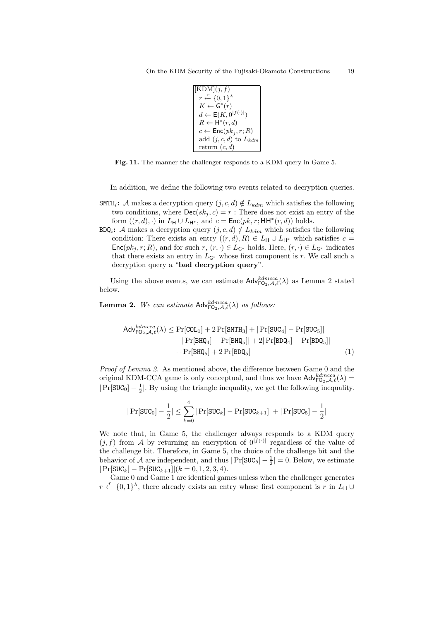```
[KDM](j, f)r
r←− {0, 1}
λ
  K \leftarrow G^*(r)d \leftarrow \mathsf{E}(K, 0^{|f(\cdot)|})R ← H<sup>*</sup>(r, d)c \leftarrow \mathsf{Enc}(pk_j, r; R)add (j, c, d) to Lkdm
  return (c, d)
```
**Fig. 11.** The manner the challenger responds to a KDM query in Game 5.

In addition, we define the following two events related to decryption queries.

- SMTH<sub>i</sub>**:** *A* makes a decryption query  $(j, c, d) \notin L_{\text{kdm}}$  which satisfies the following two conditions, where  $\text{Dec}(sk_i, c) = r$ : There does not exist an entry of the form  $((r, d), \cdot)$  in  $L_H \cup L_{H^*}$ , and  $c = \text{Enc}(pk, r; HH^*(r, d))$  holds.
- $BDQ_i$ : *A* makes a decryption query  $(j, c, d) \notin L_{kdm}$  which satisfies the following condition: There exists an entry  $((r, d), R) \in L_{\mathsf{H}} \cup L_{\mathsf{H}^*}$  which satisfies  $c =$ Enc $(pk_j, r; R)$ , and for such  $r, (r, \cdot) \in L_{\mathsf{G}^*}$  holds. Here,  $(r, \cdot) \in L_{\mathsf{G}^*}$  indicates that there exists an entry in  $L_{\mathsf{G}^*}$  whose first component is *r*. We call such a decryption query a "**bad decryption query**".

Using the above events, we can estimate  $\mathsf{Adv}_{\mathsf{FO}_2,\mathcal{A},\ell}^{d\textrm{dmcca}}(\lambda)$  as Lemma 2 stated below.

**Lemma 2.** *We can estimate*  $\mathsf{Adv}_{\mathsf{FO}_2,\mathcal{A},\ell}^{kdmcca}(\lambda)$  *as follows:* 

$$
\mathsf{Adv}_{\mathsf{FO}_2,\mathcal{A},\ell}^{kdmcca}(\lambda) \le \Pr[\mathtt{COL}_1] + 2\Pr[\mathtt{SMTH}_3] + |\Pr[\mathtt{SUC}_4] - \Pr[\mathtt{SUC}_5]|
$$
  
+ |\Pr[\mathtt{BHQ}\_4] - \Pr[\mathtt{BHQ}\_5]| + 2|\Pr[\mathtt{BDQ}\_4] - \Pr[\mathtt{BDQ}\_5]|  
+  $\Pr[\mathtt{BHQ}_5] + 2\Pr[\mathtt{BDQ}_5]$  (1)

*Proof of Lemma 2.* As mentioned above, the difference between Game 0 and the original KDM-CCA game is only conceptual, and thus we have  $\mathsf{Adv}_{\mathsf{FO}_2,\mathcal{A},\ell}^{kdmcca}(\lambda)$  = *|*Pr[SUC<sub>0</sub>] −  $\frac{1}{2}$ |. By using the triangle inequality, we get the following inequality.

$$
|\Pr[\texttt{SUC}_0] - \frac{1}{2}| \leq \sum_{k=0}^4 |\Pr[\texttt{SUC}_k] - \Pr[\texttt{SUC}_{k+1}]| + |\Pr[\texttt{SUC}_5] - \frac{1}{2}|
$$

We note that, in Game 5, the challenger always responds to a KDM query  $(j, f)$  from *A* by returning an encryption of  $0^{|f(\cdot)|}$  regardless of the value of the challenge bit. Therefore, in Game 5, the choice of the challenge bit and the behavior of *A* are independent, and thus  $|Pr[\text{SUC}_5] - \frac{1}{2}| = 0$ . Below, we estimate *|*Pr[SUC*k*] *−* Pr[SUC*k*+1]*|*(*k* = 0*,* 1*,* 2*,* 3*,* 4).

Game 0 and Game 1 are identical games unless when the challenger generates  $r \leftarrow \{0,1\}^{\lambda}$ , there already exists an entry whose first component is *r* in *L*<sub>H</sub> *∪*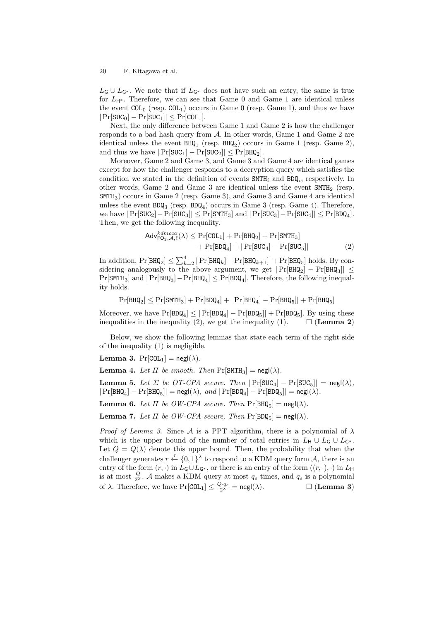*L*<sup>G</sup> *∪ L*<sup>G</sup>*<sup>∗</sup>* . We note that if *L*<sup>G</sup>*<sup>∗</sup>* does not have such an entry, the same is true for *L*<sup>H</sup>*<sup>∗</sup>* . Therefore, we can see that Game 0 and Game 1 are identical unless the event  $COL_0$  (resp.  $COL_1$ ) occurs in Game 0 (resp. Game 1), and thus we have *|*Pr[SUC0] *−* Pr[SUC1]*| ≤* Pr[COL1].

Next, the only difference between Game 1 and Game 2 is how the challenger responds to a bad hash query from *A*. In other words, Game 1 and Game 2 are identical unless the event  $BHQ_1$  (resp.  $BHQ_2$ ) occurs in Game 1 (resp. Game 2), and thus we have  $|Pr[\text{SUC}_1] - Pr[\text{SUC}_2]| \leq Pr[\text{BHQ}_2]$ .

Moreover, Game 2 and Game 3, and Game 3 and Game 4 are identical games except for how the challenger responds to a decryption query which satisfies the condition we stated in the definition of events SMTH*<sup>i</sup>* and BDQ*<sup>i</sup>* , respectively. In other words, Game 2 and Game 3 are identical unless the event SMTH<sup>2</sup> (resp. SMTH3) occurs in Game 2 (resp. Game 3), and Game 3 and Game 4 are identical unless the event  $BDQ_3$  (resp.  $BDQ_4$ ) occurs in Game 3 (resp. Game 4). Therefore, we have *|*Pr[SUC2]*−*Pr[SUC3]*| ≤* Pr[SMTH3] and *|*Pr[SUC3]*−*Pr[SUC4]*| ≤* Pr[BDQ4]. Then, we get the following inequality.

$$
\mathsf{Adv}_{\mathsf{FO}_2,\mathcal{A},\ell}^{kdmcca}(\lambda) \le \Pr[\mathtt{COL}_1] + \Pr[\mathtt{BHQ}_2] + \Pr[\mathtt{SMTH}_3] + \Pr[\mathtt{BDQ}_4] + |\Pr[\mathtt{SUC}_4] - \Pr[\mathtt{SUC}_5]|
$$
(2)

In addition,  $Pr[BHQ_2] \leq \sum_{k=2}^4 |Pr[BHQ_k] - Pr[BHQ_{k+1}]| + Pr[BHQ_5]$  holds. By considering analogously to the above argument, we get *|*Pr[BHQ2] *−* Pr[BHQ3]*| ≤* Pr[SMTH3] and *|*Pr[BHQ3]*−*Pr[BHQ4] *≤* Pr[BDQ4]. Therefore, the following inequality holds.

$$
\Pr[\text{BHQ}_2] \leq \Pr[\text{SMTH}_3]+\Pr[\text{BDQ}_4]+|\Pr[\text{BHQ}_4]-\Pr[\text{BHQ}_5]|+\Pr[\text{BHQ}_5]
$$

Moreover, we have  $Pr[BDQ_4] \leq |Pr[BDQ_4] - Pr[BDQ_5]| + Pr[BDQ_5]$ . By using these inequalities in the inequality (2), we get the inequality (1).  $\Box$  (Lemma 2)

Below, we show the following lemmas that state each term of the right side of the inequality (1) is negligible.

**Lemma 3.**  $Pr[COL_1] = negl(\lambda)$ *.* 

**Lemma 4.** Let  $\Pi$  be smooth. Then  $\Pr[\text{SMTH}_3] = \text{negl}(\lambda)$ .

**Lemma 5.** *Let*  $\Sigma$  *be OT-CPA secure. Then*  $|\Pr[\text{SUC}_4] - \Pr[\text{SUC}_5]| = \text{negl}(\lambda)$ *,*  $|Pr[BHQ_4] - Pr[BHQ_5]| = negl(\lambda), and$   $|Pr[BDQ_4] - Pr[BDQ_5]| = negl(\lambda).$ 

**Lemma 6.** *Let*  $\Pi$  *be OW-CPA secure. Then*  $\Pr[\text{BHQ}_5] = \text{negl}(\lambda)$ *.* 

**Lemma 7.** *Let*  $\Pi$  *be OW-CPA secure. Then*  $Pr[BDQ_5] = negl(\lambda)$ *.* 

*Proof of Lemma 3.* Since *A* is a PPT algorithm, there is a polynomial of  $\lambda$ which is the upper bound of the number of total entries in  $L_H \cup L_G \cup L_{G^*}$ . Let  $Q = Q(\lambda)$  denote this upper bound. Then, the probability that when the challenger generates  $r \leftarrow \{0,1\}^{\lambda}$  to respond to a KDM query form *A*, there is an entry of the form  $(r, \cdot)$  in  $L_G \cup L_{G^*}$ , or there is an entry of the form  $((r, \cdot), \cdot)$  in  $L_H$ is at most  $\frac{Q}{2^{\lambda}}$ . *A* makes a KDM query at most  $q_e$  times, and  $q_e$  is a polynomial of  $\lambda$ . Therefore, we have  $Pr[COL_1] \leq \frac{Q \cdot q_e}{2^{\lambda}} = negl(\lambda)$ .  $\Box$  (**Lemma 3**)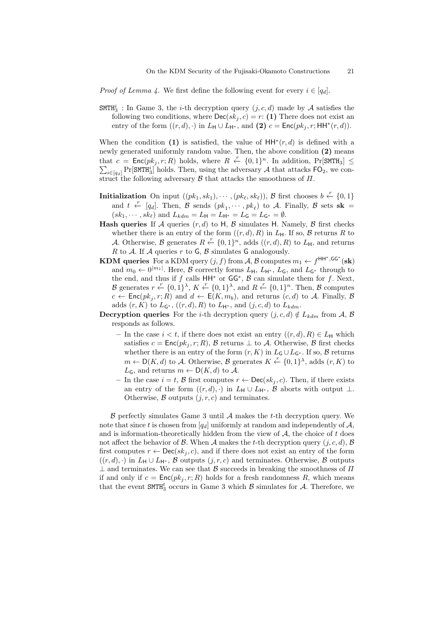*Proof of Lemma 4.* We first define the following event for every  $i \in [q_d]$ .

 $\text{SMTH}_3^i$ : In Game 3, the *i*-th decryption query  $(j, c, d)$  made by *A* satisfies the following two conditions, where  $\text{Dec}(sk_i, c) = r$ : (1) There does not exist an entry of the form  $((r, d), \cdot)$  in  $L_{\mathsf{H}} \cup L_{\mathsf{H}^*}$ , and (2)  $c = \mathsf{Enc}(pk_j, r; \mathsf{HH}^*(r, d)).$ 

When the condition (1) is satisfied, the value of  $HH^*(r, d)$  is defined with a newly generated uniformly random value. Then, the above condition **(2)** means that  $c = \text{Enc}(pk_j, r; R)$  holds, where  $R \leftarrow \{0, 1\}^n$ . In addition,  $Pr[\text{SMTH}_3] \leq$  $\sum_{i \in [q_d]} \Pr[\text{SMTH}_3^i]$  holds. Then, using the adversary *A* that attacks  $\text{FO}_2$ , we construct the following adversary  $\beta$  that attacks the smoothness of  $\Pi$ .

- **Initialization** On input  $((pk_1, sk_1), \cdots, (pk_\ell, sk_\ell)),$  *B* first chooses  $b \stackrel{r}{\leftarrow} \{0, 1\}$ and  $t \leftarrow [q_d]$ . Then,  $\hat{\mathcal{B}}$  sends  $(pk_1, \dots, pk_\ell)$  to  $\mathcal{A}$ . Finally,  $\mathcal{B}$  sets  $s\mathbf{k} =$  $(sk_1, \dots, sk_\ell)$  and  $L_{kdm} = L_H = L_{H^*} = L_G = L_{G^*} = \emptyset$ .
- **Hash queries** If *A* queries  $(r, d)$  to H, *B* simulates H. Namely, *B* first checks whether there is an entry of the form  $((r, d), R)$  in  $L_H$ . If so,  $\beta$  returns  $R$  to *A*. Otherwise, *B* generates  $R \stackrel{r}{\leftarrow} \{0,1\}^n$ , adds  $((r,d),R)$  to  $L_H$ , and returns *R* to *A*. If *A* queries *r* to G, *B* simulates G analogously.
- **KDM queries** For a KDM query  $(j, f)$  from  $A$ ,  $B$  computes  $m_1 \leftarrow f^{\mathsf{HH}^*,\mathsf{GG}^*}(\mathbf{sk})$ and  $m_0 \leftarrow 0^{|m_1|}$ . Here, *B* correctly forms  $L_{\mathsf{H}}$ ,  $L_{\mathsf{H}}$ <sup>\*</sup>,  $L_{\mathsf{G}}$ , and  $L_{\mathsf{G}}$ <sup>\*</sup> through to the end, and thus if *f* calls HH*<sup>∗</sup>* or GG*<sup>∗</sup>* , *B* can simulate them for *f*. Next, *B* generates  $r \leftarrow \{0, 1\}^{\lambda}, K \leftarrow \{0, 1\}^{\lambda}, \text{ and } R \leftarrow \{0, 1\}^n$ . Then, *B* computes  $c \leftarrow \mathsf{Enc}(pk_j, r; R)$  and  $d \leftarrow \mathsf{E}(K, m_b)$ , and returns  $(c, d)$  to *A*. Finally, *B* adds  $(r, K)$  to  $L_{\mathsf{G}^*}$ ,  $((r, d), R)$  to  $L_{\mathsf{H}^*}$ , and  $(j, c, d)$  to  $L_{\mathsf{kdm}}$ .
- **Decryption queries** For the *i*-th decryption query  $(i, c, d) \notin L_{\text{kdm}}$  from *A*, *B* responds as follows.
	- $−$  In the case  $i < t$ , if there does not exist an entry  $((r, d), R) \in L$ H which satisfies  $c = \text{Enc}(pk_i, r; R)$ ,  $\beta$  returns  $\bot$  to  $\mathcal{A}$ . Otherwise,  $\beta$  first checks whether there is an entry of the form  $(r, K)$  in  $L_G \cup L_{G^*}$ . If so,  $\beta$  returns *m* ←  $D(K, d)$  to *A*. Otherwise, *B* generates  $K \leftarrow \{0, 1\}^{\lambda}$ , adds  $(r, K)$  to  $L_{\mathsf{G}}$ , and returns  $m \leftarrow \mathsf{D}(K, d)$  to A.
	- **–** In the case *i* = *t*, *B* first computes *r ←* Dec(*sk<sup>j</sup> , c*). Then, if there exists an entry of the form  $((r, d), \cdot)$  in  $L_H \cup L_{H^*}, \mathcal{B}$  aborts with output  $\bot$ . Otherwise,  $\beta$  outputs  $(j, r, c)$  and terminates.

*B* perfectly simulates Game 3 until *A* makes the *t*-th decryption query. We note that since t is chosen from  $[q_d]$  uniformly at random and independently of  $A$ , and is information-theoretically hidden from the view of *A*, the choice of *t* does not affect the behavior of *B*. When *A* makes the *t*-th decryption query  $(i, c, d)$ , *B* first computes  $r \leftarrow \text{Dec}(sk_i, c)$ , and if there does not exist an entry of the form  $((r, d), \cdot)$  in  $L_{\mathsf{H}} \cup L_{\mathsf{H}^*}$ ,  $\mathcal B$  outputs  $(j, r, c)$  and terminates. Otherwise,  $\mathcal B$  outputs *⊥* and terminates. We can see that *B* succeeds in breaking the smoothness of *Π* if and only if  $c = \text{Enc}(pk_i, r; R)$  holds for a fresh randomness R, which means that the event  $SMTH_3^t$  occurs in Game 3 which  $\beta$  simulates for  $\mathcal{A}$ . Therefore, we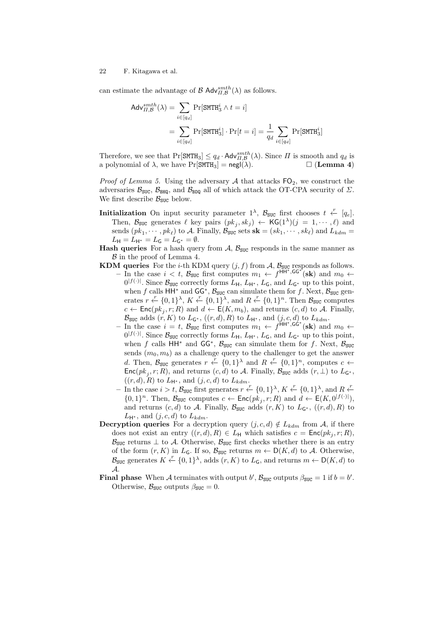can estimate the advantage of  $\mathcal{B}$  Adv $_{\Pi,\mathcal{B}}^{smth}(\lambda)$  as follows.

$$
Adv_{II,B}^{smth}(\lambda) = \sum_{i \in [q_d]} \Pr[\text{SMTH}_3^i \wedge t = i]
$$

$$
= \sum_{i \in [q_d]} \Pr[\text{SMTH}_3^i] \cdot \Pr[t = i] = \frac{1}{q_d} \sum_{i \in [q_d]} \Pr[\text{SMTH}_3^i]
$$

Therefore, we see that  $\Pr[\text{SMTH}_3] \leq q_d \cdot \text{Adv}_{\Pi,B}^{smth}(\lambda)$ . Since  $\Pi$  is smooth and  $q_d$  is a polynomial of  $\lambda$ , we have  $Pr[\text{SMTH}_3] = negl(\lambda)$ .  $\Box$  (**Lemma 4**)

*Proof of Lemma 5.* Using the adversary  $A$  that attacks  $FO_2$ , we construct the adversaries  $\mathcal{B}_{\text{SUC}}$ ,  $\mathcal{B}_{\text{BHO}}$ , and  $\mathcal{B}_{\text{BDO}}$  all of which attack the OT-CPA security of  $\Sigma$ . We first describe  $B_{\text{SUC}}$  below.

- **Initialization** On input security parameter  $1^{\lambda}$ ,  $\mathcal{B}_{\text{SUC}}$  first chooses  $t \leftarrow [q_e]$ . Then,  $\mathcal{B}_{\text{SUC}}$  generates  $\ell$  key pairs  $(pk_j, sk_j) \leftarrow \text{KG}(1^{\lambda})(j = 1, \dots, \ell)$  and  ${\rm sends}\ (pk_1, \cdots, pk_\ell)$  to *A*. Finally,  $B_{\text{SUC}}$  sets  ${\bf sk} = (sk_1, \cdots, sk_\ell)$  and  $L_{\text{kdm}} =$  $L_{\mathsf{H}} = L_{\mathsf{H}^*} = L_{\mathsf{G}} = L_{\mathsf{G}^*} = \emptyset.$
- **Hash queries** For a hash query from  $\mathcal{A}$ ,  $\mathcal{B}_{\text{SUC}}$  responds in the same manner as *B* in the proof of Lemma 4.
- **KDM queries** For the *i*-th KDM query  $(j, f)$  from  $A$ ,  $B_{\text{SUC}}$  responds as follows.  $-$  In the case *i* < *t*,  $\mathcal{B}_{\text{SUC}}$  first computes  $m_1 \leftarrow f^{\text{HH}^*,\text{GG}^*}(\textbf{sk})$  and  $m_0$  ←  $0^{|f(\cdot)|}$ . Since  $\mathcal{B}_{\text{SUC}}$  correctly forms  $L_{\mathsf{H}}$ ,  $L_{\mathsf{H}}$ <sup>\*</sup>,  $L_{\mathsf{G}}$ , and  $L_{\mathsf{G}}$ <sup>\*</sup> up to this point, when *f* calls  $HH^*$  and  $GG^*$ ,  $B_{SUC}$  can simulate them for *f*. Next,  $B_{SUC}$  generates  $r \leftarrow \{0, 1\}^{\lambda}$ ,  $K \leftarrow \{0, 1\}^{\lambda}$ , and  $R \leftarrow \{0, 1\}^n$ . Then  $\mathcal{B}_{\text{SUC}}$  computes  $c \leftarrow \mathsf{Enc}(pk_j, r; R)$  and  $d \leftarrow \mathsf{E}(K, m_b)$ , and returns  $(c, d)$  to *A*. Finally, *B*<sub>SUC</sub> adds  $(r, K)$  to  $L_{\mathsf{G}^*}$ ,  $((r, d), R)$  to  $L_{\mathsf{H}^*}$ , and  $(j, c, d)$  to  $L_{\mathsf{kdm}}$ .
	- $-$  In the case *i* = *t*,  $\mathcal{B}_{\text{SUC}}$  first computes  $m_1 \leftarrow f^{\text{HH}^*,\text{GG}^*}(\textbf{sk})$  and  $m_0 \leftarrow$  $0^{|f(\cdot)|}$ . Since  $\mathcal{B}_{\text{SUC}}$  correctly forms  $L_{\mathsf{H}}$ ,  $L_{\mathsf{H}}$ <sup>\*</sup>,  $L_{\mathsf{G}}$ , and  $L_{\mathsf{G}}$ <sup>\*</sup> up to this point, when *f* calls  $HH^*$  and  $GG^*$ ,  $B_{SUC}$  can simulate them for *f*. Next,  $B_{SUC}$ sends  $(m_0, m_b)$  as a challenge query to the challenger to get the answer *d*. Then,  $\mathcal{B}_{\text{SUC}}$  generates  $r \leftarrow \{0,1\}^{\lambda}$  and  $R \leftarrow \{0,1\}^n$ , computes  $c \leftarrow$  $Enc(pk_j, r; R)$ , and returns  $(c, d)$  to *A*. Finally,  $B_{SUC}$  adds  $(r, \perp)$  to  $L_{G^*}$ ,  $((r, d), R)$  to  $L_{H^*}$ , and  $(j, c, d)$  to  $L_{kdm}$ .
	- *F*  $\frac{1}{2}$  in the case *i* > *t*,  $\mathcal{B}_{\text{SUC}}$  first generates  $r \leftarrow \{0, 1\}^{\lambda}$ ,  $K \leftarrow \{0, 1\}^{\lambda}$ , and  $R \leftarrow$ *{*0*,* 1*}*<sup>*n*</sup>. Then, *B*<sub>SUC</sub> computes *c* ← Enc( $pk_j, r$ ; *R*) and  $d$  ← E(*K*, 0<sup>|*f*(·)|</sup>), and returns  $(c, d)$  to *A*. Finally,  $\mathcal{B}_{\text{SUC}}$  adds  $(r, K)$  to  $L_{G^*}$ ,  $((r, d), R)$  to  $L_{\mathsf{H}^*}$ , and  $(j, c, d)$  to  $L_{\mathit{kdm}}$ .
- **Decryption queries** For a decryption query  $(j, c, d) \notin L_{\text{kdm}}$  from *A*, if there does not exist an entry  $((r, d), R) \in L_H$  which satisfies  $c = \text{Enc}(pk_j, r; R)$ ,  $B_{SUC}$  returns  $\perp$  to *A*. Otherwise,  $B_{SUC}$  first checks whether there is an entry of the form  $(r, K)$  in  $L_G$ . If so,  $\mathcal{B}_{SUC}$  returns  $m \leftarrow D(K, d)$  to A. Otherwise, *B*<sub>SUC</sub> generates  $K \stackrel{r}{\leftarrow} \{0,1\}^{\lambda}$ , adds  $(r, K)$  to  $L_G$ , and returns  $m \leftarrow D(K, d)$  to *A*.
- **Final phase** When *A* terminates with output *b*',  $\mathcal{B}_{\text{SUC}}$  outputs  $\beta_{\text{SUC}} = 1$  if  $b = b'$ . Otherwise,  $\mathcal{B}_{\text{SUC}}$  outputs  $\beta_{\text{SUC}} = 0$ .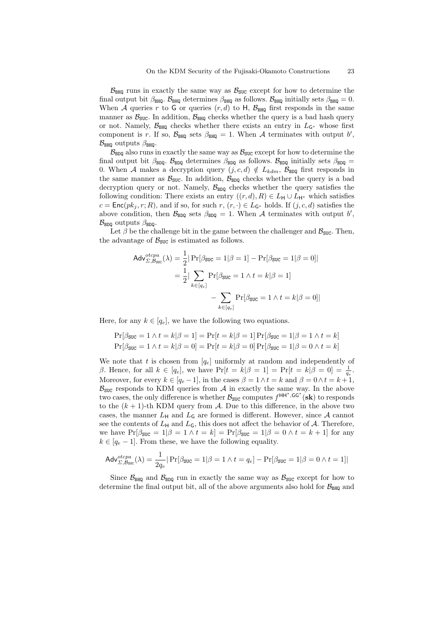$B_{\text{BHQ}}$  runs in exactly the same way as  $B_{\text{SUC}}$  except for how to determine the final output bit  $\beta_{\text{BHQ}}$ .  $\beta_{\text{BHQ}}$  determines  $\beta_{\text{BHQ}}$  as follows.  $\beta_{\text{BHQ}}$  initially sets  $\beta_{\text{BHQ}} = 0$ . When *A* queries *r* to G or queries  $(r, d)$  to H,  $\mathcal{B}_{\text{BHQ}}$  first responds in the same manner as  $B_{\text{SUC}}$ . In addition,  $B_{\text{BHO}}$  checks whether the query is a bad hash query or not. Namely,  $\mathcal{B}_{\text{BHO}}$  checks whether there exists an entry in  $L_{\mathsf{G}^*}$  whose first component is *r*. If so,  $\mathcal{B}_{\text{BHQ}}$  sets  $\beta_{\text{BHQ}} = 1$ . When A terminates with output *b'*,  $\mathcal{B}_{\text{BHQ}}$  outputs  $\beta_{\text{BHQ}}$ .

 $B_{\text{BDD}}$  also runs in exactly the same way as  $B_{\text{SUC}}$  except for how to determine the final output bit  $\beta_{\text{BDO}}$ .  $\beta_{\text{BDO}}$  determines  $\beta_{\text{BDO}}$  as follows.  $\beta_{\text{BDO}}$  initially sets  $\beta_{\text{BDO}}$ 0. When *A* makes a decryption query  $(j, c, d) \notin L_{\text{kdm}}$ ,  $\mathcal{B}_{\text{BDQ}}$  first responds in the same manner as  $\mathcal{B}_{\text{SUC}}$ . In addition,  $\mathcal{B}_{\text{BDQ}}$  checks whether the query is a bad decryption query or not. Namely,  $\mathcal{B}_{\text{BDQ}}$  checks whether the query satisfies the following condition: There exists an entry  $((r, d), R) \in L_{\mathsf{H}} \cup L_{\mathsf{H}^*}$  which satisfies  $c = \text{Enc}(pk_j, r; R)$ , and if so, for such  $r, (r, \cdot) \in L_{\mathbb{G}^*}$  holds. If  $(j, c, d)$  satisfies the above condition, then  $\mathcal{B}_{\text{BDQ}}$  sets  $\beta_{\text{BDQ}} = 1$ . When A terminates with output *b'*,  $\mathcal{B}_{\text{BDD}}$  outputs  $\beta_{\text{BDD}}$ .

Let  $\beta$  be the challenge bit in the game between the challenger and  $\mathcal{B}_{\text{SUC}}$ . Then, the advantage of  $B_{\text{SUC}}$  is estimated as follows.

$$
\begin{aligned} \mathsf{Adv}_{\Sigma, \mathcal{B}_{\text{SUC}}}^{\text{otcpa}}(\lambda) &= \frac{1}{2} |\Pr[\beta_{\text{SUC}} = 1 | \beta = 1] - \Pr[\beta_{\text{SUC}} = 1 | \beta = 0] | \\ &= \frac{1}{2} |\sum_{k \in [q_e]} \Pr[\beta_{\text{SUC}} = 1 \land t = k | \beta = 1] \\ &- \sum_{k \in [q_e]} \Pr[\beta_{\text{SUC}} = 1 \land t = k | \beta = 0] | \end{aligned}
$$

Here, for any  $k \in [q_e]$ , we have the following two equations.

$$
\Pr[\beta_{\text{SUC}} = 1 \land t = k | \beta = 1] = \Pr[t = k | \beta = 1] \Pr[\beta_{\text{SUC}} = 1 | \beta = 1 \land t = k]
$$

$$
\Pr[\beta_{\text{SUC}} = 1 \land t = k | \beta = 0] = \Pr[t = k | \beta = 0] \Pr[\beta_{\text{SUC}} = 1 | \beta = 0 \land t = k]
$$

We note that *t* is chosen from  $[q_e]$  uniformly at random and independently of *β*. Hence, for all  $k \in [q_e]$ , we have  $Pr[t = k | \beta = 1] = Pr[t = k | \beta = 0] = \frac{1}{q_e}$ . Moreover, for every  $k \in [q_e - 1]$ , in the cases  $\beta = 1 \land t = k$  and  $\beta = 0 \land t = k + 1$ ,  $B_{SUC}$  responds to KDM queries from  $A$  in exactly the same way. In the above two cases, the only difference is whether  $\mathcal{B}_{\text{SUC}}$  computes  $f^{\text{HH}^*,\text{GG}^*}$  (sk) to responds to the  $(k + 1)$ -th KDM query from  $A$ . Due to this difference, in the above two cases, the manner  $L_H$  and  $L_G$  are formed is different. However, since A cannot see the contents of  $L_H$  and  $L_G$ , this does not affect the behavior of A. Therefore, we have  $Pr[\beta_{SUC} = 1 | \beta = 1 \land t = k] = Pr[\beta_{SUC} = 1 | \beta = 0 \land t = k + 1]$  for any  $k \in [q_e - 1]$ . From these, we have the following equality.

$$
\mathsf{Adv}_{\varSigma,\mathcal{B}\mathsf{suc}}^{otpa}(\lambda) = \frac{1}{2q_e} |\Pr[\beta_{\mathsf{SUC}} = 1 | \beta = 1 \land t = q_e] - \Pr[\beta_{\mathsf{SUC}} = 1 | \beta = 0 \land t = 1]|
$$

Since  $\mathcal{B}_{\text{BHO}}$  and  $\mathcal{B}_{\text{BDO}}$  run in exactly the same way as  $\mathcal{B}_{\text{SUC}}$  except for how to determine the final output bit, all of the above arguments also hold for  $B_{\text{BHO}}$  and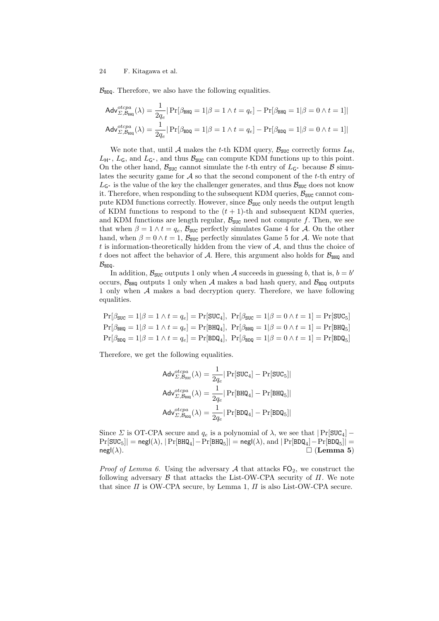$\mathcal{B}_{\text{BDO}}$ . Therefore, we also have the following equalities.

$$
\begin{aligned} \mathsf{Adv}_{\Sigma,\mathcal{B}_{\mathsf{BBQ}}}^{otcpa}(\lambda) &= \frac{1}{2q_e} |\Pr[\beta_{\mathsf{BRQ}} = 1 | \beta = 1 \land t = q_e] - \Pr[\beta_{\mathsf{BRQ}} = 1 | \beta = 0 \land t = 1] | \\ \mathsf{Adv}_{\Sigma,\mathcal{B}_{\mathsf{BDQ}}}^{otcpa}(\lambda) &= \frac{1}{2q_e} |\Pr[\beta_{\mathsf{BDQ}} = 1 | \beta = 1 \land t = q_e] - \Pr[\beta_{\mathsf{BDQ}} = 1 | \beta = 0 \land t = 1] | \end{aligned}
$$

We note that, until A makes the *t*-th KDM query,  $\mathcal{B}_{\text{SUC}}$  correctly forms  $L_{\rm H}$ ,  $L_{\mathsf{H}^*}$ ,  $L_{\mathsf{G}}$ , and  $L_{\mathsf{G}^*}$ , and thus  $\mathcal{B}_{\text{SUC}}$  can compute KDM functions up to this point. On the other hand,  $\mathcal{B}_{\text{SUC}}$  cannot simulate the *t*-th entry of  $L_{\mathsf{G}^*}$  because  $\mathcal{B}$  simulates the security game for *A* so that the second component of the *t*-th entry of  $L$ <sup>α∗</sup> is the value of the key the challenger generates, and thus  $B$ <sub>SUC</sub> does not know it. Therefore, when responding to the subsequent KDM queries,  $B_{SUC}$  cannot compute KDM functions correctly. However, since  $\mathcal{B}_{\text{SUC}}$  only needs the output length of KDM functions to respond to the  $(t + 1)$ -th and subsequent KDM queries, and KDM functions are length regular,  $B_{SUC}$  need not compute f. Then, we see that when  $\beta = 1 \wedge t = q_e$ ,  $\mathcal{B}_{\text{SUC}}$  perfectly simulates Game 4 for *A*. On the other hand, when  $\beta = 0 \wedge t = 1$ ,  $\mathcal{B}_{\text{SUC}}$  perfectly simulates Game 5 for *A*. We note that *t* is information-theoretically hidden from the view of *A*, and thus the choice of *t* does not affect the behavior of *A*. Here, this argument also holds for  $B_{\text{BHO}}$  and  $B_{\text{BDD}}$ .

In addition,  $\mathcal{B}_{\text{SUC}}$  outputs 1 only when *A* succeeds in guessing *b*, that is,  $b = b'$ occurs,  $\mathcal{B}_{\text{BHO}}$  outputs 1 only when A makes a bad hash query, and  $\mathcal{B}_{\text{BDO}}$  outputs 1 only when *A* makes a bad decryption query. Therefore, we have following equalities.

$$
\Pr[\beta_{\text{BUC}} = 1 | \beta = 1 \land t = q_e] = \Pr[\text{SUC}_4], \Pr[\beta_{\text{SUC}} = 1 | \beta = 0 \land t = 1] = \Pr[\text{SUC}_5]
$$
\n
$$
\Pr[\beta_{\text{BHQ}} = 1 | \beta = 1 \land t = q_e] = \Pr[\text{BHQ}_4], \Pr[\beta_{\text{BHQ}} = 1 | \beta = 0 \land t = 1] = \Pr[\text{BHQ}_5]
$$
\n
$$
\Pr[\beta_{\text{BDQ}} = 1 | \beta = 1 \land t = q_e] = \Pr[\text{BDQ}_4], \Pr[\beta_{\text{BDQ}} = 1 | \beta = 0 \land t = 1] = \Pr[\text{BDQ}_5]
$$

Therefore, we get the following equalities.

$$
\begin{aligned} \mathsf{Adv}_{\varSigma,\mathcal{B}_{\mathsf{SUC}}}^{otcpa}(\lambda) &= \frac{1}{2q_e} |\Pr[\mathtt{SUC}_4] - \Pr[\mathtt{SUC}_5]| \\ \mathsf{Adv}_{\varSigma,\mathcal{B}_{\mathsf{BHQ}}}^{otcpa}(\lambda) &= \frac{1}{2q_e} |\Pr[\mathtt{BHQ}_4] - \Pr[\mathtt{BHQ}_5]| \\ \mathsf{Adv}_{\varSigma,\mathcal{B}_{\mathsf{BDQ}}}^{otcpa}(\lambda) &= \frac{1}{2q_e} |\Pr[\mathtt{BDQ}_4] - \Pr[\mathtt{BDQ}_5]| \end{aligned}
$$

Since *Σ* is OT-CPA secure and  $q_e$  is a polynomial of  $\lambda$ , we see that  $|Pr[\text{SUC}_4]$  –  $Pr[\text{SUC}_5]| = \text{negl}(\lambda), |Pr[\text{BHQ}_4]-Pr[\text{BHQ}_5]| = \text{negl}(\lambda), \text{and } |Pr[\text{BDQ}_4]-Pr[\text{BDQ}_5]| =$  $\Box$  (**Lemma 5**)

*Proof of Lemma 6.* Using the adversary  $A$  that attacks  $FO_2$ , we construct the following adversary *B* that attacks the List-OW-CPA security of *Π*. We note that since *Π* is OW-CPA secure, by Lemma 1, *Π* is also List-OW-CPA secure.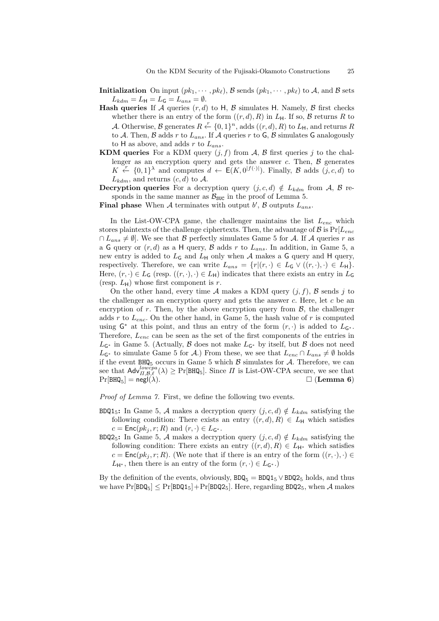- **Initialization** On input  $(pk_1, \dots, pk_\ell)$ ,  $\mathcal{B}$  sends  $(pk_1, \dots, pk_\ell)$  to  $\mathcal{A}$ , and  $\mathcal{B}$  sets  $L_{\text{kd}m} = L_{\text{H}} = L_{\text{G}} = L_{ans} = \emptyset.$
- **Hash queries** If *A* queries  $(r, d)$  to H, *B* simulates H. Namely, *B* first checks whether there is an entry of the form  $((r, d), R)$  in  $L_H$ . If so,  $\beta$  returns  $R$  to *A*. Otherwise, *B* generates  $R \stackrel{r}{\leftarrow} \{0,1\}^n$ , adds  $((r,d), R)$  to  $L_H$ , and returns  $R$ to A. Then,  $\beta$  adds  $r$  to  $L_{ans}$ . If  $\mathcal A$  queries  $r$  to  $\mathsf G$ ,  $\beta$  simulates  $\mathsf G$  analogously to H as above, and adds *r* to *Lans*.
- **KDM queries** For a KDM query  $(j, f)$  from  $A$ ,  $B$  first queries  $j$  to the challenger as an encryption query and gets the answer  $c$ . Then,  $\beta$  generates *K*  $\stackrel{\circ}{\leftarrow}$  {0,1}<sup> $\lambda$ </sup> and computes *d* ← E(*K,* 0<sup>|*f*(·)|</sup>). Finally, *B* adds (*j, c, d*) to  $L_{\text{kdm}}$ , and returns  $(c, d)$  to  $\mathcal{A}$ .
- **Decryption queries** For a decryption query  $(j, c, d) \notin L_{\text{kdm}}$  from *A*, *B* responds in the same manner as  $B_{SUC}$  in the proof of Lemma 5.

**Final phase** When *A* terminates with output *b ′* , *B* outputs *Lans*.

In the List-OW-CPA game, the challenger maintains the list *Lenc* which stores plaintexts of the challenge ciphertexts. Then, the advantage of  $\mathcal{B}$  is  $Pr[L_{enc}]$ *∩*  $L_{ans}$   $\neq$   $\emptyset$ . We see that *B* perfectly simulates Game 5 for *A*. If *A* queries *r* as a G query or  $(r, d)$  as a H query,  $\beta$  adds  $r$  to  $L_{ans}$ . In addition, in Game 5, a new entry is added to  $L_G$  and  $L_H$  only when  $A$  makes a  $G$  query and  $H$  query, respectively. Therefore, we can write  $L_{ans} = \{r | (r, \cdot) \in L_{\mathsf{G}} \vee ((r, \cdot), \cdot) \in L_{\mathsf{H}}\}.$ Here,  $(r, \cdot) \in L_G$  (resp.  $((r, \cdot), \cdot) \in L_H$ ) indicates that there exists an entry in  $L_G$ (resp.  $L_{\rm H}$ ) whose first component is *r*.

On the other hand, every time  $A$  makes a KDM query  $(i, f)$ ,  $B$  sends  $j$  to the challenger as an encryption query and gets the answer *c*. Here, let *c* be an encryption of  $r$ . Then, by the above encryption query from  $\mathcal{B}$ , the challenger adds *r* to *Lenc*. On the other hand, in Game 5, the hash value of *r* is computed using  $G^*$  at this point, and thus an entry of the form  $(r, \cdot)$  is added to  $L_{G^*}$ . Therefore, *Lenc* can be seen as the set of the first components of the entries in *L*<sup>G</sup>*<sup>∗</sup>* in Game 5. (Actually, *B* does not make *L*<sup>G</sup>*<sup>∗</sup>* by itself, but *B* does not need *L*<sub>G<sup>∗</sup></sub> to simulate Game 5 for *A*.) From these, we see that  $L_{enc} \cap L_{ans} \neq \emptyset$  holds if the event  $BHQ_5$  occurs in Game 5 which  $\beta$  simulates for  $\mathcal{A}$ . Therefore, we can see that  $\mathsf{Adv}_{\Pi,\mathcal{B},\ell}^{lowcpa}(\lambda) \geq \Pr[\text{BHQ}_5]$ . Since  $\Pi$  is List-OW-CPA secure, we see that  $Pr[BHQ_5] = negl(\lambda).$   $\Box$  (**Lemma 6**)

*Proof of Lemma 7.* First, we define the following two events.

- BDQ1<sub>5</sub>: In Game 5, *A* makes a decryption query  $(j, c, d) \notin L_{\text{kdm}}$  satisfying the following condition: There exists an entry  $((r, d), R) \in L_H$  which satisfies  $c = \textsf{Enc}(pk_i, r; R)$  and  $(r, \cdot) \in L_{\mathsf{G}^*}$ .
- BDQ2<sub>5</sub>: In Game 5, *A* makes a decryption query  $(j, c, d) \notin L_{\text{kdm}}$  satisfying the following condition: There exists an entry  $((r, d), R) \in L_{H^*}$  which satisfies  $c = \textsf{Enc}(pk_i, r; R)$ . (We note that if there is an entry of the form  $((r, \cdot), \cdot) \in$  $L_{\mathsf{H}^*}$ , then there is an entry of the form  $(r, \cdot) \in L_{\mathsf{G}^*}$ .)

By the definition of the events, obviously,  $BDQ_5 = BDQ1_5 \vee BDQ2_5$  holds, and thus we have  $Pr[BDQ_5] \leq Pr[BDQ1_5] + Pr[BDQ2_5]$ . Here, regarding  $BDQ2_5$ , when A makes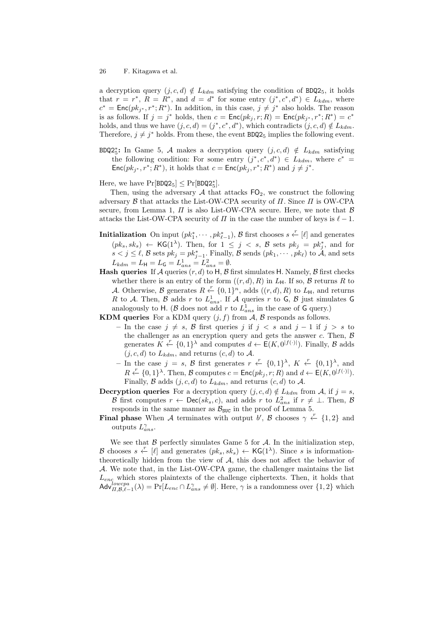a decryption query  $(j, c, d) \notin L_{\text{kdm}}$  satisfying the condition of BDQ2<sub>5</sub>, it holds that  $r = r^*$ ,  $R = R^*$ , and  $d = d^*$  for some entry  $(j^*, c^*, d^*) \in L_{\text{kdm}}$ , where  $c^* = \textsf{Enc}(pk_{j^*}, r^*; R^*)$ . In addition, in this case,  $j \neq j^*$  also holds. The reason is as follows. If  $j = j^*$  holds, then  $c = \textsf{Enc}(pk_j, r; R) = \textsf{Enc}(pk_{j^*}, r^*; R^*) = c^*$ holds, and thus we have  $(j, c, d) = (j^*, c^*, d^*)$ , which contradicts  $(j, c, d) \notin L_{\text{kdm}}$ . Therefore,  $j \neq j^*$  holds. From these, the event  $BDQ2_5$  implies the following event.

BDQ2*<sup>∗</sup>* 5 **:** In Game 5, *A* makes a decryption query (*j, c, d*) *∈/ Lkdm* satisfying the following condition: For some entry  $(j^*, c^*, d^*) \in L_{\text{kdm}}$ , where  $c^* =$  $Enc(pk_j, r^*; R^*)$ , it holds that  $c = Enc(pk_j, r^*; R^*)$  and  $j \neq j^*$ .

Here, we have  $Pr[BDQ2_5] \leq Pr[BDQ2_5^*]$ .

Then, using the adversary  $A$  that attacks  $FO_2$ , we construct the following adversary *B* that attacks the List-OW-CPA security of *Π*. Since *Π* is OW-CPA secure, from Lemma 1,  $\Pi$  is also List-OW-CPA secure. Here, we note that  $\beta$ attacks the List-OW-CPA security of  $\Pi$  in the case the number of keys is  $\ell-1$ .

- **Initialization** On input  $(pk_1^*, \cdots, pk_{\ell-1}^*)$ , *B* first chooses  $s \leftarrow [\ell]$  and generates  $(pk_s, sk_s) \leftarrow \mathsf{KG}(1^{\lambda})$ . Then, for  $1 \leq j \leq s$ ,  $\mathcal{B}$  sets  $pk_j = pk_j^*$ , and for  $s < j \leq \ell$ , *B* sets  $pk_j = pk_{j-1}^*$ . Finally, *B* sends  $(pk_1, \dots, pk_\ell)$  to *A*, and sets  $L_{kdm} = L_{\rm H} = L_{\rm G} = L_{ans}^1 = L_{ans}^2 = \emptyset.$
- **Hash queries** If *A* queries  $(r, d)$  to H, *B* first simulates H. Namely, *B* first checks whether there is an entry of the form  $((r, d), R)$  in  $L_H$ . If so,  $\beta$  returns  $R$  to *A*. Otherwise, *B* generates  $R \stackrel{r}{\leftarrow} \{0,1\}^n$ , adds  $((r,d),R)$  to  $L_H$ , and returns *R* to *A*. Then, *B* adds *r* to  $L^1_{ans}$ . If *A* queries *r* to *G*, *B* just simulates *G* analogously to H. ( $\beta$  does not add  $r$  to  $L_{ans}^1$  in the case of G query.)

**KDM queries** For a KDM query  $(j, f)$  from  $A$ ,  $B$  responds as follows.

- **–** In the case *j ̸*= *s*, *B* first queries *j* if *j < s* and *j −* 1 if *j > s* to the challenger as an encryption query and gets the answer  $c$ . Then,  $\beta$ generates  $K \xleftarrow{r} \{0,1\}^{\lambda}$  and computes  $d \leftarrow \mathsf{E}(K, 0^{|f(\cdot)|})$ . Finally, *B* adds  $(j, c, d)$  to  $L_{kdm}$ , and returns  $(c, d)$  to  $\mathcal{A}$ .
- *−* In the case *j* = *s*, *B* first generates  $r \stackrel{r}{\leftarrow} \{0,1\}^{\lambda}$ ,  $K \stackrel{r}{\leftarrow} \{0,1\}^{\lambda}$ , and  $R \leftarrow \{0, 1\}^{\lambda}$ . Then, *B* computes  $c = \text{Enc}(pk_j, r; R)$  and  $d \leftarrow E(K, 0^{|f(\cdot)|})$ . Finally, *B* adds  $(j, c, d)$  to  $L_{kdm}$ , and returns  $(c, d)$  to  $A$ .
- **Decryption queries** For a decryption query  $(j, c, d) \notin L_{\text{kdm}}$  from *A*, if  $j = s$ , *B* first computes  $r \leftarrow \text{Dec}(sk_s, c)$ , and adds  $r$  to  $L^2_{ans}$  if  $r \neq \bot$ . Then, *B* responds in the same manner as  $\mathcal{B}_{\text{SUC}}$  in the proof of Lemma 5.
- **Final phase** When *A* terminates with output *b*', *B* chooses  $\gamma \leftarrow \{1, 2\}$  and outputs  $L^{\gamma}_{ans}$ .

We see that  $\beta$  perfectly simulates Game 5 for  $\mathcal{A}$ . In the initialization step, *B* chooses  $s \leftarrow [\ell]$  and generates  $(pk_s, sk_s) \leftarrow \mathsf{KG}(1^\lambda)$ . Since *s* is informationtheoretically hidden from the view of *A*, this does not affect the behavior of *A*. We note that, in the List-OW-CPA game, the challenger maintains the list *Lenc* which stores plaintexts of the challenge ciphertexts. Then, it holds that  $\text{Adv}_{\Pi,\mathcal{B},\ell-1}^{lowerpa}(\lambda) = \Pr[L_{enc} \cap L_{ans}^{\gamma} \neq \emptyset].$  Here,  $\gamma$  is a randomness over  $\{1,2\}$  which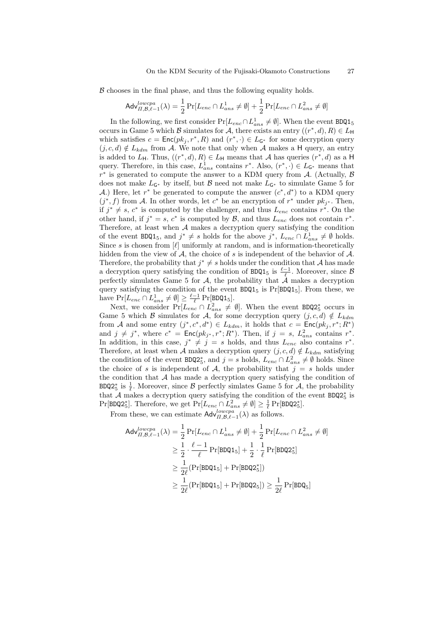B chooses in the final phase, and thus the following equality holds.

$$
\mathsf{Adv}_{\Pi,\mathcal{B},\ell-1}^{lowera}(\lambda) = \frac{1}{2} \Pr[L_{enc} \cap L_{ans}^1 \neq \emptyset] + \frac{1}{2} \Pr[L_{enc} \cap L_{ans}^2 \neq \emptyset]
$$

In the following, we first consider  $Pr[L_{enc} \cap L_{ans}^1 \neq \emptyset]$ . When the event BDQ1<sub>5</sub> occurs in Game 5 which *B* simulates for *A*, there exists an entry  $((r^*, d), R) \in L$ <sup>H</sup> which satisfies  $c = \text{Enc}(pk_j, r^*, R)$  and  $(r^*, \cdot) \in L_{G^*}$  for some decryption query  $(j, c, d) \notin L_{\underline{kdm}}$  from *A*. We note that only when *A* makes a H query, an entry is added to  $L_{\mathsf{H}}$ . Thus,  $((r^*, d), R) \in L_{\mathsf{H}}$  means that *A* has queries  $(r^*, d)$  as a H query. Therefore, in this case,  $L_{ans}^1$  contains  $r^*$ . Also,  $(r^*, \cdot) \in L_{G^*}$  means that *r ∗* is generated to compute the answer to a KDM query from *A*. (Actually, *B* does not make  $L_{G^*}$  by itself, but *B* need not make  $L_{G^*}$  to simulate Game 5 for *A*.) Here, let *r*<sup>∗</sup> be generated to compute the answer  $(c^*, d^*)$  to a KDM query  $(j^*, f)$  from *A*. In other words, let  $c^*$  be an encryption of  $r^*$  under  $pk_{j^*}$ . Then, if  $j^* \neq s$ ,  $c^*$  is computed by the challenger, and thus  $L_{enc}$  contains  $r^*$ . On the other hand, if  $j^* = s$ ,  $c^*$  is computed by  $\mathcal{B}$ , and thus  $L_{enc}$  does not contain  $r^*$ . Therefore, at least when *A* makes a decryption query satisfying the condition of the event  $BDQ1_5$ , and  $j^* \neq s$  holds for the above  $j^*$ ,  $L_{enc} \cap L_{ans}^1 \neq \emptyset$  holds. Since *s* is chosen from  $[\ell]$  uniformly at random, and is information-theoretically hidden from the view of *A*, the choice of *s* is independent of the behavior of *A*. Therefore, the probability that  $j^* \neq s$  holds under the condition that *A* has made a decryption query satisfying the condition of  $BDQ1_5$  is  $\frac{\ell-1}{\ell}$ . Moreover, since B perfectly simulates Game 5 for *A*, the probability that *A* makes a decryption query satisfying the condition of the event  $BDQ1_5$  is  $Pr[BDQ1_5]$ . From these, we have  $\Pr[L_{enc} \cap L_{ans}^1 \neq \emptyset] \geq \frac{\ell-1}{\ell} \Pr[\text{BDQ1}_5].$ 

Next, we consider  $Pr[L_{enc} \cap L_{ans}^2 \neq \emptyset]$ . When the event BDQ2<sup>\*</sup><sub>5</sub> occurs in Game 5 which *B* simulates for *A*, for some decryption query  $(j, c, d) \notin L_{\text{kdm}}$ from *A* and some entry  $(j^*, c^*, d^*) \in L_{kdm}$ , it holds that  $c = \text{Enc}(pk_j, r^*; R^*)$ and  $j \neq j^*$ , where  $c^* = \text{Enc}(pk_{j^*}, r^*; R^*)$ . Then, if  $j = s$ ,  $L^2_{ans}$  contains  $r^*$ . In addition, in this case,  $j^* \neq j = s$  holds, and thus  $L_{enc}$  also contains  $r^*$ . Therefore, at least when *A* makes a decryption query  $(j, c, d) \notin L_{kdm}$  satisfying the condition of the event  $BDQ2^*_{5}$ , and  $j = s$  holds,  $L_{enc} \cap L_{ans}^2 \neq \emptyset$  holds. Since the choice of *s* is independent of *A*, the probability that  $j = s$  holds under the condition that  $A$  has made a decryption query satisfying the condition of BDQ2<sup>\*</sup><sub>5</sub> is  $\frac{1}{\ell}$ . Moreover, since *B* perfectly simlates Game 5 for *A*, the probability that *A* makes a decryption query satisfying the condition of the event BDQ2*<sup>∗</sup>* 5 is  $Pr[\text{BDQ2}_5^*]$ . Therefore, we get  $Pr[L_{enc} \cap L_{ans}^2 \neq \emptyset] \geq \frac{1}{\ell} Pr[\text{BDQ2}_5^*]$ .

From these, we can estimate  $\mathsf{Adv}_{\Pi,\mathcal{B},\ell-1}^{lowerpa}(\lambda)$  as follows.

$$
\begin{aligned}\n\mathsf{Adv}_{\Pi,\mathcal{B},\ell-1}^{lowcpa}(\lambda) &= \frac{1}{2} \Pr[L_{enc} \cap L_{ans}^1 \neq \emptyset] + \frac{1}{2} \Pr[L_{enc} \cap L_{ans}^2 \neq \emptyset] \\
&\geq \frac{1}{2} \cdot \frac{\ell-1}{\ell} \Pr[\mathtt{BDQ1}_5] + \frac{1}{2} \cdot \frac{1}{\ell} \Pr[\mathtt{BDQ2}_5^*] \\
&\geq \frac{1}{2\ell} (\Pr[\mathtt{BDQ1}_5] + \Pr[\mathtt{BDQ2}_5^*]) \\
&\geq \frac{1}{2\ell} (\Pr[\mathtt{BDQ1}_5] + \Pr[\mathtt{BDQ2}_5]) \geq \frac{1}{2\ell} \Pr[\mathtt{BDQ}_5]\n\end{aligned}
$$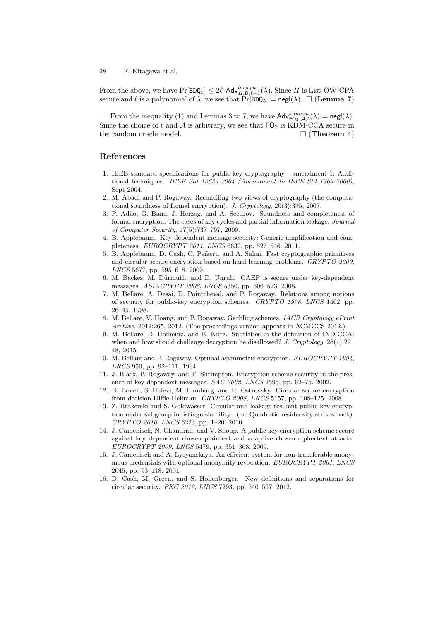From the above, we have  $\Pr[\text{BDQ}_5] \leq 2\ell \cdot \text{Adv}_{\Pi,\mathcal{B},\ell-1}^{lowera}(\lambda)$ . Since  $\Pi$  is List-OW-CPA secure and  $\ell$  is a polynomial of  $\lambda$ , we see that  $Pr[BDQ_5] = negl(\lambda)$ .  $\Box$  (**Lemma 7**)

From the inequality (1) and Lemmas 3 to 7, we have  $\mathsf{Adv}_{\mathsf{FQ}_2,\mathcal{A},\ell}^{kdmcca}(\lambda) = \mathsf{negl}(\lambda)$ . Since the choice of  $\ell$  and  $\mathcal A$  is arbitrary, we see that  $\mathsf{FO}_2$  is KDM-CCA secure in the random oracle model. □ (**Theorem 4**)

## **References**

- 1. IEEE standard specifications for public-key cryptography amendment 1: Additional techniques. *IEEE Std 1363a-2004 (Amendment to IEEE Std 1363-2000)*, Sept 2004.
- 2. M. Abadi and P. Rogaway. Reconciling two views of cryptography (the computational soundness of formal encryption). *J. Cryptology*, 20(3):395, 2007.
- 3. P. Ad˜ao, G. Bana, J. Herzog, and A. Scedrov. Soundness and completeness of formal encryption: The cases of key cycles and partial information leakage. *Journal of Computer Security*, 17(5):737–797, 2009.
- 4. B. Applebaum. Key-dependent message security: Generic amplification and completeness. *EUROCRYPT 2011*, *LNCS* 6632, pp. 527–546. 2011.
- 5. B. Applebaum, D. Cash, C. Peikert, and A. Sahai. Fast cryptographic primitives and circular-secure encryption based on hard learning problems. *CRYPTO 2009*, *LNCS* 5677, pp. 595–618. 2009.
- 6. M. Backes, M. Dürmuth, and D. Unruh. OAEP is secure under key-dependent messages. *ASIACRYPT 2008*, *LNCS* 5350, pp. 506–523. 2008.
- 7. M. Bellare, A. Desai, D. Pointcheval, and P. Rogaway. Relations among notions of security for public-key encryption schemes. *CRYPTO 1998*, *LNCS* 1462, pp. 26–45. 1998.
- 8. M. Bellare, V. Hoang, and P. Rogaway. Garbling schemes. *IACR Cryptology ePrint Archive*, 2012:265, 2012. (The proceedings version appears in ACMCCS 2012.)
- 9. M. Bellare, D. Hofheinz, and E. Kiltz. Subtleties in the definition of IND-CCA: when and how should challenge decryption be disallowed? *J. Cryptology*, 28(1):29– 48, 2015.
- 10. M. Bellare and P. Rogaway. Optimal asymmetric encryption. *EUROCRYPT 1994*, *LNCS* 950, pp. 92–111. 1994.
- 11. J. Black, P. Rogaway, and T. Shrimpton. Encryption-scheme security in the presence of key-dependent messages. *SAC 2002*, *LNCS* 2595, pp. 62–75. 2002.
- 12. D. Boneh, S. Halevi, M. Hamburg, and R. Ostrovsky. Circular-secure encryption from decision Diffie-Hellman. *CRYPTO 2008*, *LNCS* 5157, pp. 108–125. 2008.
- 13. Z. Brakerski and S. Goldwasser. Circular and leakage resilient public-key encryption under subgroup indistinguishability - (or: Quadratic residuosity strikes back). *CRYPTO 2010*, *LNCS* 6223, pp. 1–20. 2010.
- 14. J. Camenisch, N. Chandran, and V. Shoup. A public key encryption scheme secure against key dependent chosen plaintext and adaptive chosen ciphertext attacks. *EUROCRYPT 2009*, *LNCS* 5479, pp. 351–368. 2009.
- 15. J. Camenisch and A. Lysyanskaya. An efficient system for non-transferable anonymous credentials with optional anonymity revocation. *EUROCRYPT 2001*, *LNCS* 2045, pp. 93–118. 2001.
- 16. D. Cash, M. Green, and S. Hohenberger. New definitions and separations for circular security. *PKC 2012*, *LNCS* 7293, pp. 540–557. 2012.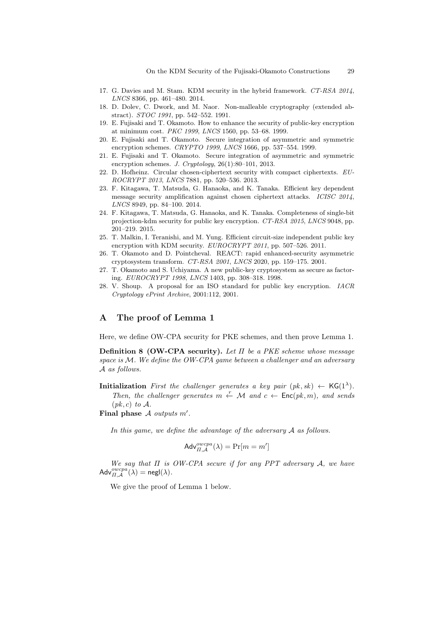- 17. G. Davies and M. Stam. KDM security in the hybrid framework. *CT-RSA 2014*, *LNCS* 8366, pp. 461–480. 2014.
- 18. D. Dolev, C. Dwork, and M. Naor. Non-malleable cryptography (extended abstract). *STOC 1991*, pp. 542–552. 1991.
- 19. E. Fujisaki and T. Okamoto. How to enhance the security of public-key encryption at minimum cost. *PKC 1999*, *LNCS* 1560, pp. 53–68. 1999.
- 20. E. Fujisaki and T. Okamoto. Secure integration of asymmetric and symmetric encryption schemes. *CRYPTO 1999*, *LNCS* 1666, pp. 537–554. 1999.
- 21. E. Fujisaki and T. Okamoto. Secure integration of asymmetric and symmetric encryption schemes. *J. Cryptology*, 26(1):80–101, 2013.
- 22. D. Hofheinz. Circular chosen-ciphertext security with compact ciphertexts. *EU-ROCRYPT 2013*, *LNCS* 7881, pp. 520–536. 2013.
- 23. F. Kitagawa, T. Matsuda, G. Hanaoka, and K. Tanaka. Efficient key dependent message security amplification against chosen ciphertext attacks. *ICISC 2014*, *LNCS* 8949, pp. 84–100. 2014.
- 24. F. Kitagawa, T. Matsuda, G. Hanaoka, and K. Tanaka. Completeness of single-bit projection-kdm security for public key encryption. *CT-RSA 2015*, *LNCS* 9048, pp. 201–219. 2015.
- 25. T. Malkin, I. Teranishi, and M. Yung. Efficient circuit-size independent public key encryption with KDM security. *EUROCRYPT 2011*, pp. 507–526. 2011.
- 26. T. Okamoto and D. Pointcheval. REACT: rapid enhanced-security asymmetric cryptosystem transform. *CT-RSA 2001*, *LNCS* 2020, pp. 159–175. 2001.
- 27. T. Okamoto and S. Uchiyama. A new public-key cryptosystem as secure as factoring. *EUROCRYPT 1998*, *LNCS* 1403, pp. 308–318. 1998.
- 28. V. Shoup. A proposal for an ISO standard for public key encryption. *IACR Cryptology ePrint Archive*, 2001:112, 2001.

## **A The proof of Lemma 1**

Here, we define OW-CPA security for PKE schemes, and then prove Lemma 1.

**Definition 8 (OW-CPA security).** *Let Π be a PKE scheme whose message space is M. We define the OW-CPA game between a challenger and an adversary A as follows.*

**Initialization** *First the challenger generates a key pair*  $(pk, sk) \leftarrow \mathsf{KG}(1^{\lambda})$ *.* 

*Then, the challenger generates*  $m \leftarrow M$  *and*  $c \leftarrow \text{Enc}(pk, m)$ *, and sends*  $(pk, c)$  *to*  $\mathcal{A}$ *.* 

**Final phase** *A outputs m′ .*

*In this game, we define the advantage of the adversary A as follows.*

$$
\mathsf{Adv}_{\Pi,\mathcal{A}}^{\mathit{owcpa}}(\lambda) = \Pr[m = m']
$$

*We say that Π is OW-CPA secure if for any PPT adversary A, we have*  $\mathsf{Adv}_{\Pi,\mathcal{A}}^{owcpa}(\lambda) = \mathsf{negl}(\lambda).$ 

We give the proof of Lemma 1 below.